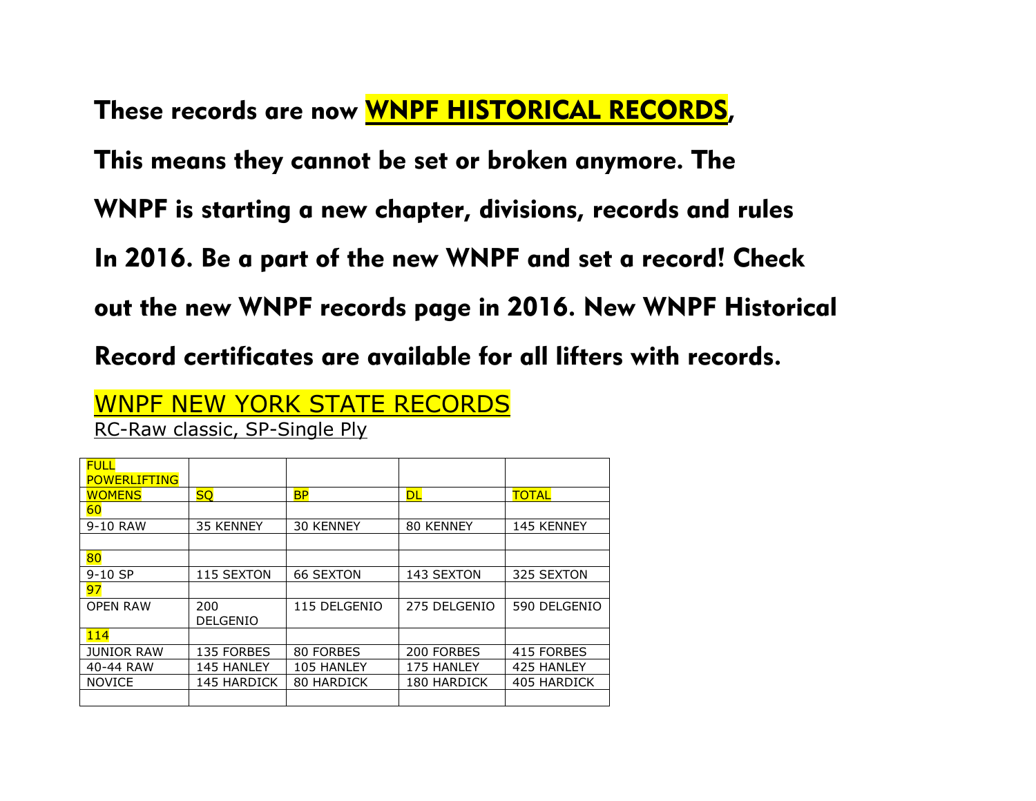These records are now WNPF HISTORICAL RECORDS, This means they cannot be set or broken anymore. The WNPF is starting a new chapter, divisions, records and rules In 2016. Be a part of the new WNPF and set a record! Check out the new WNPF records page in 2016. New WNPF Historical Record certificates are available for all lifters with records.

| WNPF NEW YORK STATE RECORDS   |
|-------------------------------|
| RC-Raw classic, SP-Single Ply |

| <b>FULL</b>         |                    |                  |                    |                    |
|---------------------|--------------------|------------------|--------------------|--------------------|
| <b>POWERLIFTING</b> |                    |                  |                    |                    |
| <b>WOMENS</b>       | <b>SQ</b>          | <b>BP</b>        | <b>DL</b>          | <b>TOTAL</b>       |
| 60                  |                    |                  |                    |                    |
| 9-10 RAW            | 35 KENNEY          | 30 KENNEY        | 80 KENNEY          | 145 KENNEY         |
|                     |                    |                  |                    |                    |
| 80                  |                    |                  |                    |                    |
| $9-10$ SP           | 115 SEXTON         | <b>66 SEXTON</b> | 143 SEXTON         | 325 SEXTON         |
| 97                  |                    |                  |                    |                    |
| <b>OPEN RAW</b>     | 200                | 115 DELGENIO     | 275 DELGENIO       | 590 DELGENIO       |
|                     | <b>DELGENIO</b>    |                  |                    |                    |
| 114                 |                    |                  |                    |                    |
| <b>JUNIOR RAW</b>   | 135 FORBES         | 80 FORBES        | 200 FORBES         | 415 FORBES         |
| 40-44 RAW           | <b>145 HANLEY</b>  | 105 HANLEY       | 175 HANLEY         | 425 HANLEY         |
| <b>NOVICE</b>       | <b>145 HARDICK</b> | 80 HARDICK       | <b>180 HARDICK</b> | <b>405 HARDICK</b> |
|                     |                    |                  |                    |                    |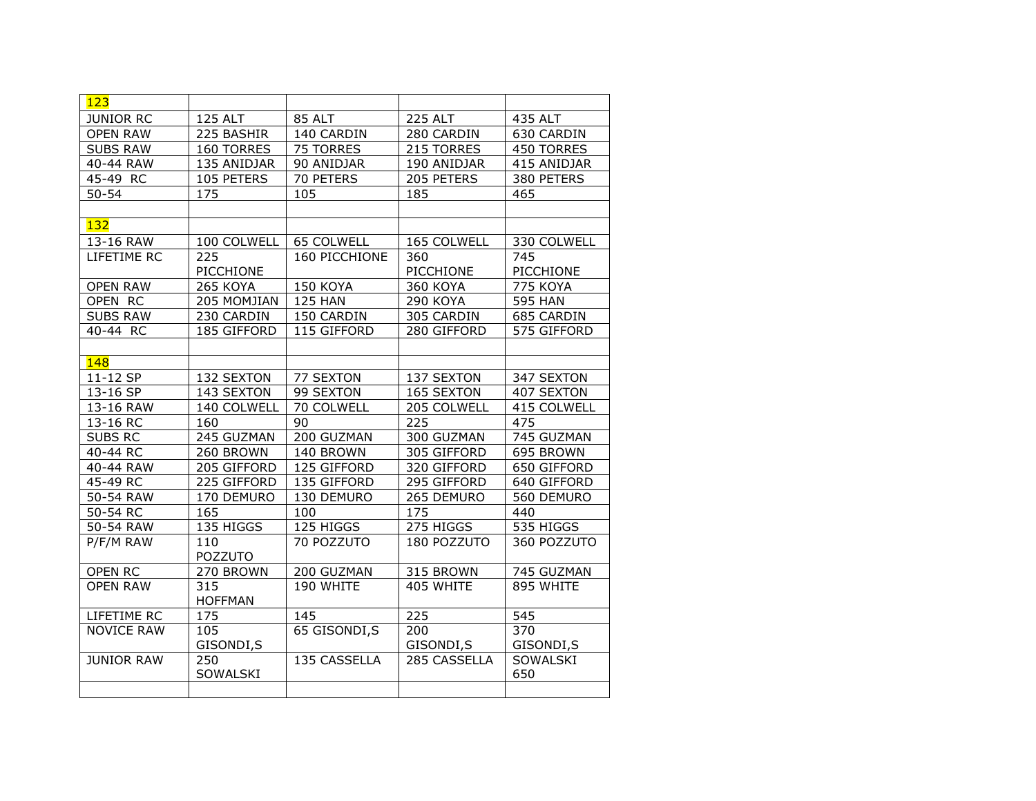| 123               |                 |                  |                 |                 |
|-------------------|-----------------|------------------|-----------------|-----------------|
| <b>JUNIOR RC</b>  | <b>125 ALT</b>  | <b>85 ALT</b>    | <b>225 ALT</b>  | 435 ALT         |
| <b>OPEN RAW</b>   | 225 BASHIR      | 140 CARDIN       | 280 CARDIN      | 630 CARDIN      |
| <b>SUBS RAW</b>   | 160 TORRES      | 75 TORRES        | 215 TORRES      | 450 TORRES      |
| 40-44 RAW         | 135 ANIDJAR     | 90 ANIDJAR       | 190 ANIDJAR     | 415 ANIDJAR     |
| $45-49$ RC        | 105 PETERS      | <b>70 PETERS</b> | 205 PETERS      | 380 PETERS      |
| $50 - 54$         | 175             | 105              | 185             | 465             |
|                   |                 |                  |                 |                 |
| 132               |                 |                  |                 |                 |
| 13-16 RAW         | 100 COLWELL     | 65 COLWELL       | 165 COLWELL     | 330 COLWELL     |
| LIFETIME RC       | 225             | 160 PICCHIONE    | 360             | 745             |
|                   | PICCHIONE       |                  | PICCHIONE       | PICCHIONE       |
| <b>OPEN RAW</b>   | <b>265 KOYA</b> | 150 KOYA         | 360 KOYA        | <b>775 KOYA</b> |
| OPEN RC           | 205 MOMJIAN     | <b>125 HAN</b>   | <b>290 KOYA</b> | <b>595 HAN</b>  |
| <b>SUBS RAW</b>   | 230 CARDIN      | 150 CARDIN       | 305 CARDIN      | 685 CARDIN      |
| 40-44 RC          | 185 GIFFORD     | 115 GIFFORD      | 280 GIFFORD     | 575 GIFFORD     |
|                   |                 |                  |                 |                 |
| 148               |                 |                  |                 |                 |
| 11-12 SP          | 132 SEXTON      | 77 SEXTON        | 137 SEXTON      | 347 SEXTON      |
| 13-16 SP          | 143 SEXTON      | 99 SEXTON        | 165 SEXTON      | 407 SEXTON      |
| 13-16 RAW         | 140 COLWELL     | 70 COLWELL       | 205 COLWELL     | 415 COLWELL     |
| 13-16 RC          | 160             | 90               | 225             | 475             |
| <b>SUBS RC</b>    | 245 GUZMAN      | 200 GUZMAN       | 300 GUZMAN      | 745 GUZMAN      |
| 40-44 RC          | 260 BROWN       | 140 BROWN        | 305 GIFFORD     | 695 BROWN       |
| 40-44 RAW         | 205 GIFFORD     | 125 GIFFORD      | 320 GIFFORD     | 650 GIFFORD     |
| 45-49 RC          | 225 GIFFORD     | 135 GIFFORD      | 295 GIFFORD     | 640 GIFFORD     |
| 50-54 RAW         | 170 DEMURO      | 130 DEMURO       | 265 DEMURO      | 560 DEMURO      |
| 50-54 RC          | 165             | 100              | 175             | 440             |
| 50-54 RAW         | 135 HIGGS       | 125 HIGGS        | 275 HIGGS       | 535 HIGGS       |
| P/F/M RAW         | 110             | 70 POZZUTO       | 180 POZZUTO     | 360 POZZUTO     |
|                   | POZZUTO         |                  |                 |                 |
| <b>OPEN RC</b>    | 270 BROWN       | 200 GUZMAN       | 315 BROWN       | 745 GUZMAN      |
| <b>OPEN RAW</b>   | 315             | 190 WHITE        | 405 WHITE       | 895 WHITE       |
|                   | <b>HOFFMAN</b>  |                  |                 |                 |
| LIFETIME RC       | 175             | 145              | 225             | 545             |
| <b>NOVICE RAW</b> | 105             | 65 GISONDI, S    | 200             | 370             |
|                   | GISONDI, S      |                  | GISONDI, S      | GISONDI, S      |
| <b>JUNIOR RAW</b> | 250             | 135 CASSELLA     | 285 CASSELLA    | SOWALSKI        |
|                   | SOWALSKI        |                  |                 | 650             |
|                   |                 |                  |                 |                 |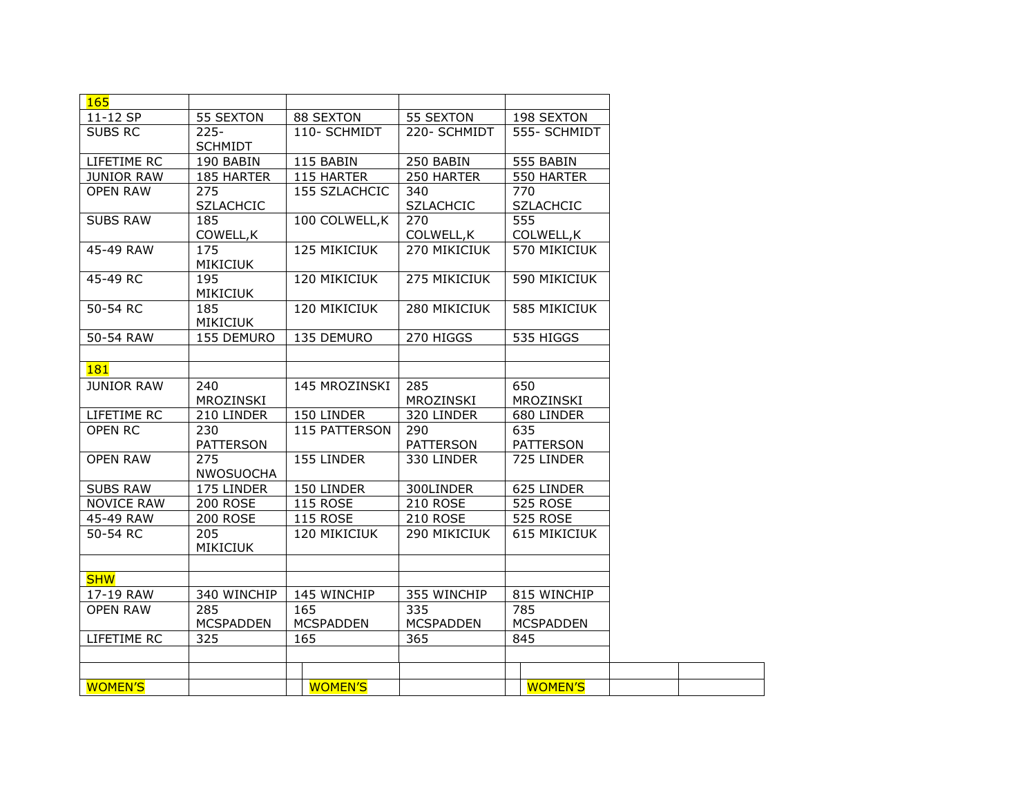| 165               |                  |                  |                  |                     |
|-------------------|------------------|------------------|------------------|---------------------|
| 11-12 SP          | 55 SEXTON        | 88 SEXTON        | 55 SEXTON        | 198 SEXTON          |
| <b>SUBS RC</b>    | $225 -$          | 110- SCHMIDT     | 220- SCHMIDT     | 555- SCHMIDT        |
|                   | <b>SCHMIDT</b>   |                  |                  |                     |
| LIFETIME RC       | 190 BABIN        | 115 BABIN        | 250 BABIN        | 555 BABIN           |
| <b>JUNIOR RAW</b> | 185 HARTER       | 115 HARTER       | 250 HARTER       | 550 HARTER          |
| <b>OPEN RAW</b>   | 275              | 155 SZLACHCIC    | 340              | 770                 |
|                   | <b>SZLACHCIC</b> |                  | <b>SZLACHCIC</b> | <b>SZLACHCIC</b>    |
| <b>SUBS RAW</b>   | 185              | 100 COLWELL, K   | 270              | 555                 |
|                   | COWELL, K        |                  | COLWELL, K       | COLWELL, K          |
| 45-49 RAW         | 175              | 125 MIKICIUK     | 270 MIKICIUK     | 570 MIKICIUK        |
|                   | <b>MIKICIUK</b>  |                  |                  |                     |
| 45-49 RC          | 195              | 120 MIKICIUK     | 275 MIKICIUK     | 590 MIKICIUK        |
|                   | <b>MIKICIUK</b>  |                  |                  |                     |
| 50-54 RC          | 185              | 120 MIKICIUK     | 280 MIKICIUK     | 585 MIKICIUK        |
|                   | <b>MIKICIUK</b>  |                  |                  |                     |
| 50-54 RAW         | 155 DEMURO       | 135 DEMURO       | 270 HIGGS        | 535 HIGGS           |
|                   |                  |                  |                  |                     |
| 181               |                  |                  |                  |                     |
| <b>JUNIOR RAW</b> | 240              | 145 MROZINSKI    | 285              | 650                 |
|                   | MROZINSKI        |                  | MROZINSKI        | MROZINSKI           |
| LIFETIME RC       | 210 LINDER       | 150 LINDER       | 320 LINDER       | 680 LINDER          |
| <b>OPEN RC</b>    | 230              | 115 PATTERSON    | 290              | 635                 |
|                   | <b>PATTERSON</b> |                  | <b>PATTERSON</b> | <b>PATTERSON</b>    |
| <b>OPEN RAW</b>   | 275              | 155 LINDER       | 330 LINDER       | 725 LINDER          |
|                   | <b>NWOSUOCHA</b> |                  |                  |                     |
| <b>SUBS RAW</b>   | 175 LINDER       | 150 LINDER       | 300LINDER        | 625 LINDER          |
| <b>NOVICE RAW</b> | <b>200 ROSE</b>  | <b>115 ROSE</b>  | <b>210 ROSE</b>  | <b>525 ROSE</b>     |
| 45-49 RAW         | <b>200 ROSE</b>  | <b>115 ROSE</b>  | <b>210 ROSE</b>  | <b>525 ROSE</b>     |
| 50-54 RC          | 205              | 120 MIKICIUK     | 290 MIKICIUK     | <b>615 MIKICIUK</b> |
|                   | <b>MIKICIUK</b>  |                  |                  |                     |
|                   |                  |                  |                  |                     |
| <b>SHW</b>        |                  |                  |                  |                     |
| 17-19 RAW         | 340 WINCHIP      | 145 WINCHIP      | 355 WINCHIP      | 815 WINCHIP         |
| <b>OPEN RAW</b>   | 285              | 165              | 335              | 785                 |
|                   | <b>MCSPADDEN</b> | <b>MCSPADDEN</b> | <b>MCSPADDEN</b> | <b>MCSPADDEN</b>    |
| LIFETIME RC       | 325              | 165              | 365              | 845                 |
|                   |                  |                  |                  |                     |
|                   |                  |                  |                  |                     |
| <b>WOMEN'S</b>    |                  | <b>WOMEN'S</b>   |                  | <b>WOMEN'S</b>      |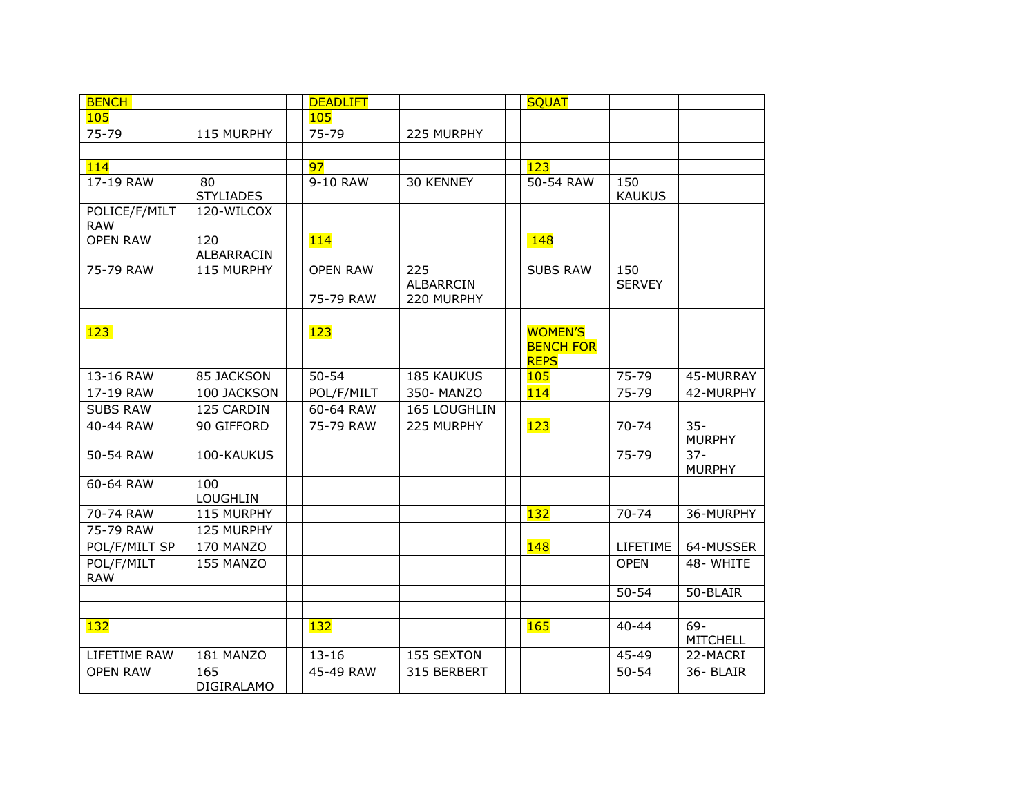| <b>BENCH</b>                |                          | <b>DEADLIFT</b> |                         | <b>SQUAT</b>                                      |                      |                           |
|-----------------------------|--------------------------|-----------------|-------------------------|---------------------------------------------------|----------------------|---------------------------|
| 105                         |                          | 105             |                         |                                                   |                      |                           |
| 75-79                       | 115 MURPHY               | 75-79           | 225 MURPHY              |                                                   |                      |                           |
|                             |                          |                 |                         |                                                   |                      |                           |
| 114                         |                          | 97              |                         | 123                                               |                      |                           |
| 17-19 RAW                   | 80<br><b>STYLIADES</b>   | 9-10 RAW        | 30 KENNEY               | 50-54 RAW                                         | 150<br><b>KAUKUS</b> |                           |
| POLICE/F/MILT<br><b>RAW</b> | 120-WILCOX               |                 |                         |                                                   |                      |                           |
| <b>OPEN RAW</b>             | 120<br>ALBARRACIN        | 114             |                         | <b>148</b>                                        |                      |                           |
| 75-79 RAW                   | 115 MURPHY               | <b>OPEN RAW</b> | 225<br><b>ALBARRCIN</b> | <b>SUBS RAW</b>                                   | 150<br><b>SERVEY</b> |                           |
|                             |                          | 75-79 RAW       | 220 MURPHY              |                                                   |                      |                           |
|                             |                          |                 |                         |                                                   |                      |                           |
| 123                         |                          | 123             |                         | <b>WOMEN'S</b><br><b>BENCH FOR</b><br><b>REPS</b> |                      |                           |
| 13-16 RAW                   | 85 JACKSON               | $50 - 54$       | <b>185 KAUKUS</b>       | <b>105</b>                                        | 75-79                | 45-MURRAY                 |
| 17-19 RAW                   | 100 JACKSON              | POL/F/MILT      | 350- MANZO              | 114                                               | 75-79                | 42-MURPHY                 |
| <b>SUBS RAW</b>             | 125 CARDIN               | 60-64 RAW       | 165 LOUGHLIN            |                                                   |                      |                           |
| 40-44 RAW                   | 90 GIFFORD               | 75-79 RAW       | 225 MURPHY              | 123                                               | $70 - 74$            | $35 -$<br><b>MURPHY</b>   |
| 50-54 RAW                   | 100-KAUKUS               |                 |                         |                                                   | 75-79                | $37 -$<br><b>MURPHY</b>   |
| 60-64 RAW                   | 100<br>LOUGHLIN          |                 |                         |                                                   |                      |                           |
| 70-74 RAW                   | 115 MURPHY               |                 |                         | 132                                               | $70 - 74$            | 36-MURPHY                 |
| 75-79 RAW                   | 125 MURPHY               |                 |                         |                                                   |                      |                           |
| POL/F/MILT SP               | 170 MANZO                |                 |                         | <b>148</b>                                        | LIFETIME             | 64-MUSSER                 |
| POL/F/MILT<br><b>RAW</b>    | 155 MANZO                |                 |                         |                                                   | <b>OPEN</b>          | 48-WHITE                  |
|                             |                          |                 |                         |                                                   | $50 - 54$            | 50-BLAIR                  |
|                             |                          |                 |                         |                                                   |                      |                           |
| 132                         |                          | 132             |                         | 165                                               | $40 - 44$            | $69 -$<br><b>MITCHELL</b> |
| LIFETIME RAW                | 181 MANZO                | $13 - 16$       | 155 SEXTON              |                                                   | 45-49                | 22-MACRI                  |
| <b>OPEN RAW</b>             | 165<br><b>DIGIRALAMO</b> | 45-49 RAW       | 315 BERBERT             |                                                   | $50 - 54$            | 36-BLAIR                  |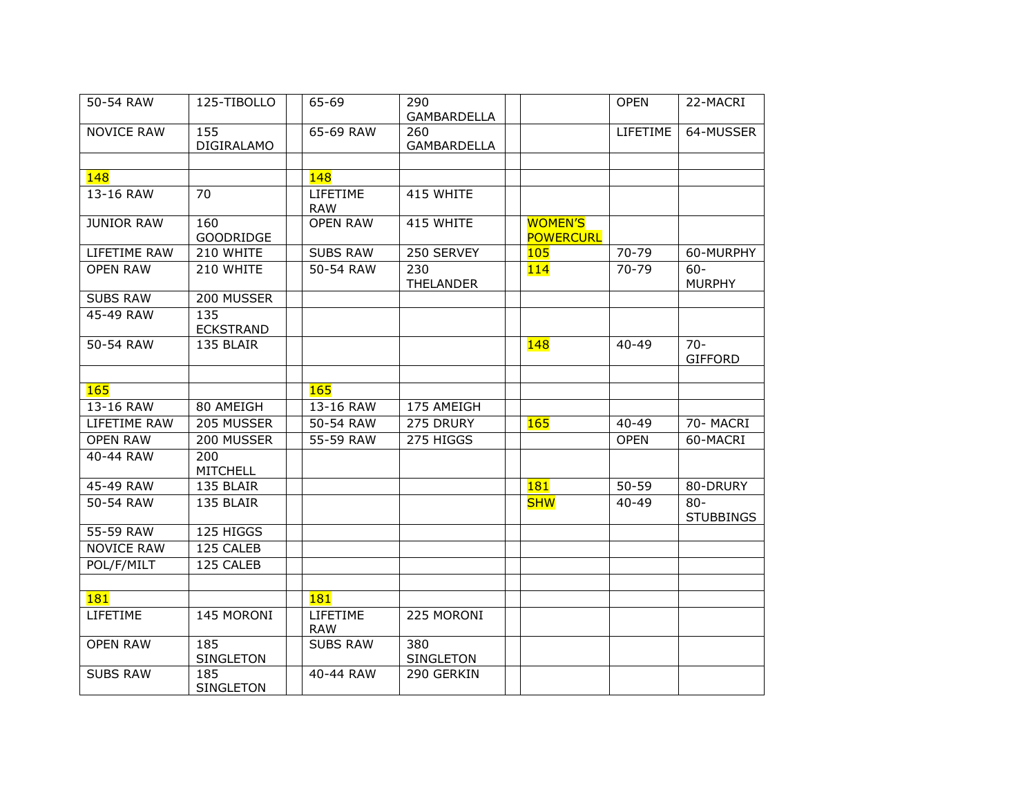| 50-54 RAW         | 125-TIBOLLO             | 65-69                  | 290<br><b>GAMBARDELLA</b> |                                    | <b>OPEN</b> | 22-MACRI                   |
|-------------------|-------------------------|------------------------|---------------------------|------------------------------------|-------------|----------------------------|
| <b>NOVICE RAW</b> | 155<br>DIGIRALAMO       | 65-69 RAW              | 260<br><b>GAMBARDELLA</b> |                                    | LIFETIME    | 64-MUSSER                  |
|                   |                         |                        |                           |                                    |             |                            |
| 148               |                         | 148                    |                           |                                    |             |                            |
| 13-16 RAW         | 70                      | LIFETIME<br><b>RAW</b> | 415 WHITE                 |                                    |             |                            |
| <b>JUNIOR RAW</b> | 160<br><b>GOODRIDGE</b> | <b>OPEN RAW</b>        | 415 WHITE                 | <b>WOMEN'S</b><br><b>POWERCURL</b> |             |                            |
| LIFETIME RAW      | 210 WHITE               | <b>SUBS RAW</b>        | 250 SERVEY                | 105                                | 70-79       | 60-MURPHY                  |
| <b>OPEN RAW</b>   | 210 WHITE               | 50-54 RAW              | 230<br><b>THELANDER</b>   | 114                                | $70 - 79$   | $60 -$<br><b>MURPHY</b>    |
| <b>SUBS RAW</b>   | 200 MUSSER              |                        |                           |                                    |             |                            |
| 45-49 RAW         | 135<br><b>ECKSTRAND</b> |                        |                           |                                    |             |                            |
| 50-54 RAW         | 135 BLAIR               |                        |                           | <b>148</b>                         | $40 - 49$   | $70 -$<br><b>GIFFORD</b>   |
| 165               |                         | 165                    |                           |                                    |             |                            |
| 13-16 RAW         | 80 AMEIGH               | 13-16 RAW              | 175 AMEIGH                |                                    |             |                            |
| LIFETIME RAW      | 205 MUSSER              | 50-54 RAW              | 275 DRURY                 | 165                                | 40-49       | 70- MACRI                  |
| <b>OPEN RAW</b>   | 200 MUSSER              | 55-59 RAW              | 275 HIGGS                 |                                    | <b>OPEN</b> | 60-MACRI                   |
| 40-44 RAW         | 200<br>MITCHELL         |                        |                           |                                    |             |                            |
| 45-49 RAW         | 135 BLAIR               |                        |                           | <b>181</b>                         | $50 - 59$   | 80-DRURY                   |
| 50-54 RAW         | 135 BLAIR               |                        |                           | <b>SHW</b>                         | $40 - 49$   | $80 -$<br><b>STUBBINGS</b> |
| 55-59 RAW         | 125 HIGGS               |                        |                           |                                    |             |                            |
| <b>NOVICE RAW</b> | 125 CALEB               |                        |                           |                                    |             |                            |
| POL/F/MILT        | 125 CALEB               |                        |                           |                                    |             |                            |
|                   |                         |                        |                           |                                    |             |                            |
| 181               |                         | <b>181</b>             |                           |                                    |             |                            |
| LIFETIME          | 145 MORONI              | LIFETIME<br><b>RAW</b> | 225 MORONI                |                                    |             |                            |
| <b>OPEN RAW</b>   | 185<br>SINGLETON        | <b>SUBS RAW</b>        | 380<br>SINGLETON          |                                    |             |                            |
| <b>SUBS RAW</b>   | 185<br><b>SINGLETON</b> | 40-44 RAW              | 290 GERKIN                |                                    |             |                            |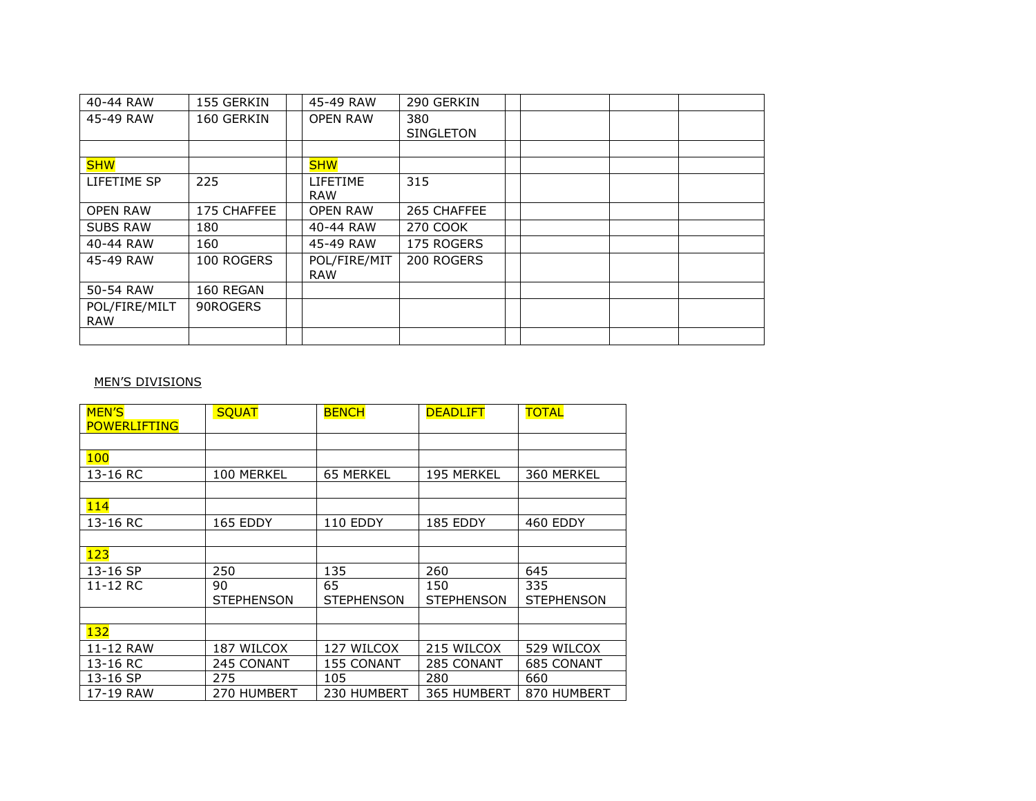| 40-44 RAW                   | 155 GERKIN  | 45-49 RAW                     | 290 GERKIN              |  |  |
|-----------------------------|-------------|-------------------------------|-------------------------|--|--|
| 45-49 RAW                   | 160 GERKIN  | <b>OPEN RAW</b>               | 380<br><b>SINGLETON</b> |  |  |
|                             |             |                               |                         |  |  |
| <b>SHW</b>                  |             | <b>SHW</b>                    |                         |  |  |
| LIFETIME SP                 | 225         | <b>LIFETIME</b><br><b>RAW</b> | 315                     |  |  |
| <b>OPEN RAW</b>             | 175 CHAFFEE | <b>OPEN RAW</b>               | 265 CHAFFEE             |  |  |
| <b>SUBS RAW</b>             | 180         | 40-44 RAW                     | 270 COOK                |  |  |
| 40-44 RAW                   | 160         | 45-49 RAW                     | 175 ROGERS              |  |  |
| 45-49 RAW                   | 100 ROGERS  | POL/FIRE/MIT<br><b>RAW</b>    | 200 ROGERS              |  |  |
| 50-54 RAW                   | 160 REGAN   |                               |                         |  |  |
| POL/FIRE/MILT<br><b>RAW</b> | 90ROGERS    |                               |                         |  |  |
|                             |             |                               |                         |  |  |

## MEN'S DIVISIONS

| <b>MEN'S</b>        | <b>SQUAT</b>      | <b>BENCH</b>      | <b>DEADLIFT</b>   | <b>TOTAL</b>      |
|---------------------|-------------------|-------------------|-------------------|-------------------|
| <b>POWERLIFTING</b> |                   |                   |                   |                   |
|                     |                   |                   |                   |                   |
| <b>100</b>          |                   |                   |                   |                   |
| 13-16 RC            | 100 MERKEL        | 65 MERKEL         | 195 MERKEL        | 360 MERKEL        |
|                     |                   |                   |                   |                   |
| 114                 |                   |                   |                   |                   |
| 13-16 RC            | 165 EDDY          | 110 EDDY          | 185 EDDY          | 460 EDDY          |
|                     |                   |                   |                   |                   |
| 123                 |                   |                   |                   |                   |
| 13-16 SP            | 250               | 135               | 260               | 645               |
| 11-12 RC            | 90                | 65                | 150               | 335               |
|                     | <b>STEPHENSON</b> | <b>STEPHENSON</b> | <b>STEPHENSON</b> | <b>STEPHENSON</b> |
|                     |                   |                   |                   |                   |
| 132                 |                   |                   |                   |                   |
| 11-12 RAW           | 187 WILCOX        | 127 WILCOX        | 215 WILCOX        | 529 WILCOX        |
| 13-16 RC            | 245 CONANT        | 155 CONANT        | 285 CONANT        | 685 CONANT        |
| 13-16 SP            | 275               | 105               | 280               | 660               |
| 17-19 RAW           | 270 HUMBERT       | 230 HUMBERT       | 365 HUMBERT       | 870 HUMBERT       |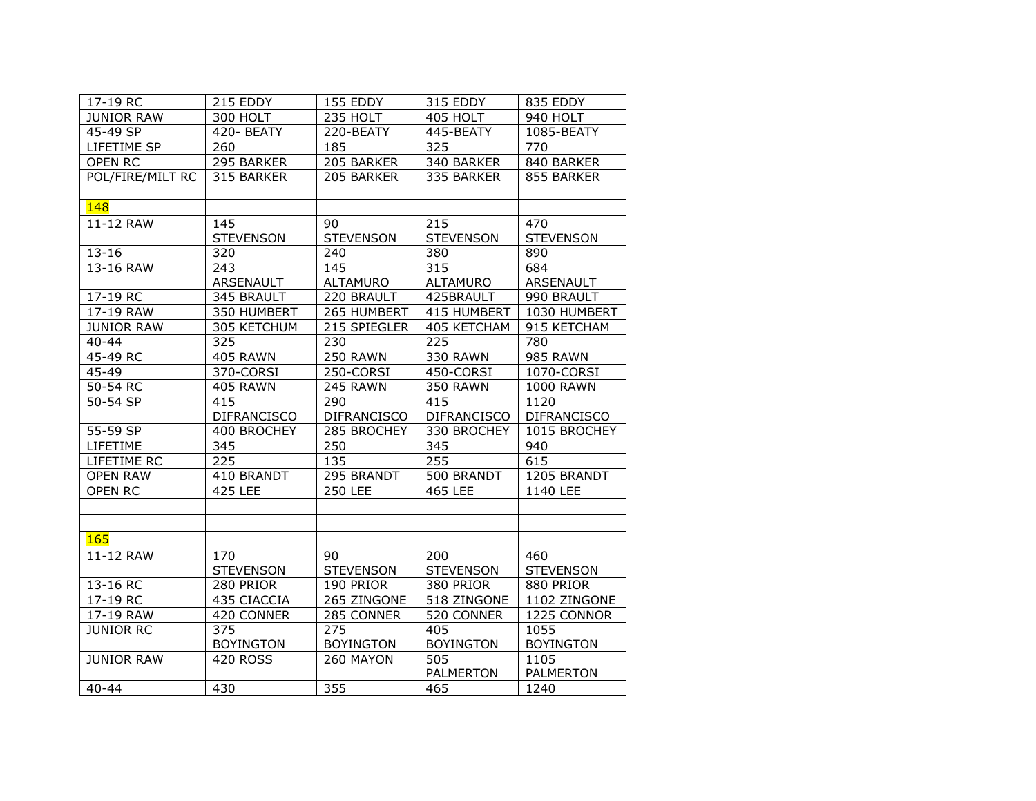| 17-19 RC          | 215 EDDY           | 155 EDDY           | 315 EDDY           | 835 EDDY           |
|-------------------|--------------------|--------------------|--------------------|--------------------|
| <b>JUNIOR RAW</b> | 300 HOLT           | 235 HOLT           | 405 HOLT           | 940 HOLT           |
| 45-49 SP          | 420-BEATY          | 220-BEATY          | 445-BEATY          | 1085-BEATY         |
| LIFETIME SP       | 260                | 185                | 325                | 770                |
| OPEN RC           | 295 BARKER         | 205 BARKER         | 340 BARKER         | 840 BARKER         |
| POL/FIRE/MILT RC  | 315 BARKER         | 205 BARKER         | 335 BARKER         | 855 BARKER         |
|                   |                    |                    |                    |                    |
| 148               |                    |                    |                    |                    |
| 11-12 RAW         | 145                | 90                 | 215                | 470                |
|                   | <b>STEVENSON</b>   | <b>STEVENSON</b>   | <b>STEVENSON</b>   | <b>STEVENSON</b>   |
| $13 - 16$         | 320                | 240                | 380                | 890                |
| 13-16 RAW         | 243                | 145                | 315                | 684                |
|                   | ARSENAULT          | <b>ALTAMURO</b>    | ALTAMURO           | ARSENAULT          |
| 17-19 RC          | 345 BRAULT         | 220 BRAULT         | 425BRAULT          | 990 BRAULT         |
| 17-19 RAW         | 350 HUMBERT        | 265 HUMBERT        | 415 HUMBERT        | 1030 HUMBERT       |
| <b>JUNIOR RAW</b> | 305 KETCHUM        | 215 SPIEGLER       | 405 KETCHAM        | 915 KETCHAM        |
| $40 - 44$         | 325                | 230                | 225                | 780                |
| 45-49 RC          | <b>405 RAWN</b>    | <b>250 RAWN</b>    | <b>330 RAWN</b>    | <b>985 RAWN</b>    |
| $45 - 49$         | 370-CORSI          | 250-CORSI          | 450-CORSI          | 1070-CORSI         |
| 50-54 RC          | <b>405 RAWN</b>    | 245 RAWN           | <b>350 RAWN</b>    | <b>1000 RAWN</b>   |
| 50-54 SP          | 415                | 290                | 415                | 1120               |
|                   | <b>DIFRANCISCO</b> | <b>DIFRANCISCO</b> | <b>DIFRANCISCO</b> | <b>DIFRANCISCO</b> |
| 55-59 SP          | 400 BROCHEY        | 285 BROCHEY        | 330 BROCHEY        | 1015 BROCHEY       |
| LIFETIME          | 345                | 250                | 345                | 940                |
| LIFETIME RC       | 225                | 135                | 255                | 615                |
| <b>OPEN RAW</b>   | 410 BRANDT         | 295 BRANDT         | 500 BRANDT         | 1205 BRANDT        |
| OPEN RC           | <b>425 LEE</b>     | <b>250 LEE</b>     | <b>465 LEE</b>     | 1140 LEE           |
|                   |                    |                    |                    |                    |
|                   |                    |                    |                    |                    |
| <b>165</b>        |                    |                    |                    |                    |
| 11-12 RAW         | 170                | 90                 | 200                | 460                |
|                   | <b>STEVENSON</b>   | <b>STEVENSON</b>   | <b>STEVENSON</b>   | <b>STEVENSON</b>   |
| 13-16 RC          | 280 PRIOR          | 190 PRIOR          | 380 PRIOR          | 880 PRIOR          |
| 17-19 RC          | 435 CIACCIA        | 265 ZINGONE        | 518 ZINGONE        | 1102 ZINGONE       |
| 17-19 RAW         | 420 CONNER         | 285 CONNER         | 520 CONNER         | 1225 CONNOR        |
| <b>JUNIOR RC</b>  | 375                | 275                | 405                | 1055               |
|                   | <b>BOYINGTON</b>   | <b>BOYINGTON</b>   | <b>BOYINGTON</b>   | <b>BOYINGTON</b>   |
| <b>JUNIOR RAW</b> | <b>420 ROSS</b>    | 260 MAYON          | 505                | 1105               |
|                   |                    |                    | <b>PALMERTON</b>   | <b>PALMERTON</b>   |
| $40 - 44$         | 430                | 355                | 465                | 1240               |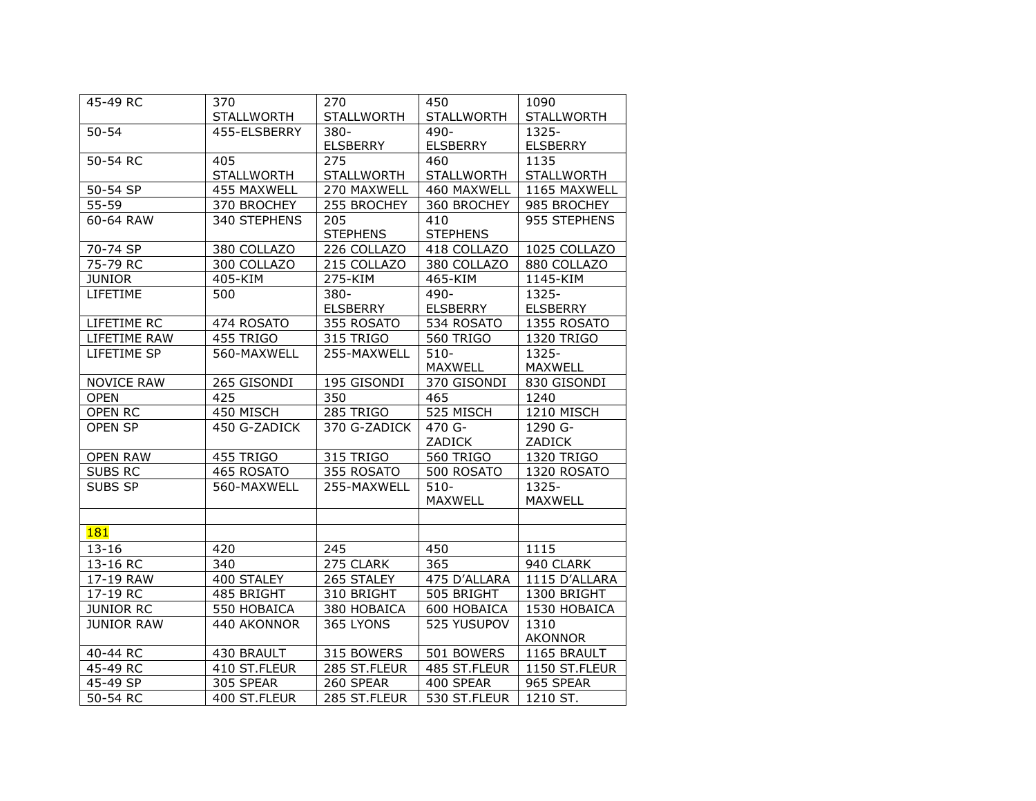| 45-49 RC          | 370               | 270               | 450             | 1090              |
|-------------------|-------------------|-------------------|-----------------|-------------------|
|                   | <b>STALLWORTH</b> | <b>STALLWORTH</b> | STALLWORTH      | <b>STALLWORTH</b> |
| $50 - 54$         | 455-ELSBERRY      | $380 -$           | 490-            | 1325-             |
|                   |                   | <b>ELSBERRY</b>   | ELSBERRY        | <b>ELSBERRY</b>   |
| 50-54 RC          | 405               | 275               | 460             | 1135              |
|                   | <b>STALLWORTH</b> | <b>STALLWORTH</b> | STALLWORTH      | <b>STALLWORTH</b> |
| 50-54 SP          | 455 MAXWELL       | 270 MAXWELL       | 460 MAXWELL     | 1165 MAXWELL      |
| 55-59             | 370 BROCHEY       | 255 BROCHEY       | 360 BROCHEY     | 985 BROCHEY       |
| 60-64 RAW         | 340 STEPHENS      | 205               | 410             | 955 STEPHENS      |
|                   |                   | <b>STEPHENS</b>   | <b>STEPHENS</b> |                   |
| 70-74 SP          | 380 COLLAZO       | 226 COLLAZO       | 418 COLLAZO     | 1025 COLLAZO      |
| 75-79 RC          | 300 COLLAZO       | 215 COLLAZO       | 380 COLLAZO     | 880 COLLAZO       |
| <b>JUNIOR</b>     | 405-KIM           | 275-KIM           | 465-KIM         | 1145-KIM          |
| LIFETIME          | 500               | $380 -$           | $490 -$         | 1325-             |
|                   |                   | <b>ELSBERRY</b>   | <b>ELSBERRY</b> | <b>ELSBERRY</b>   |
| LIFETIME RC       | 474 ROSATO        | 355 ROSATO        | 534 ROSATO      | 1355 ROSATO       |
| LIFETIME RAW      | 455 TRIGO         | 315 TRIGO         | 560 TRIGO       | 1320 TRIGO        |
| LIFETIME SP       | 560-MAXWELL       | 255-MAXWELL       | $510 -$         | 1325-             |
|                   |                   |                   | MAXWELL         | <b>MAXWELL</b>    |
| <b>NOVICE RAW</b> | 265 GISONDI       | 195 GISONDI       | 370 GISONDI     | 830 GISONDI       |
| <b>OPEN</b>       | 425               | 350               | 465             | 1240              |
| <b>OPEN RC</b>    | 450 MISCH         | <b>285 TRIGO</b>  | 525 MISCH       | 1210 MISCH        |
| OPEN SP           | 450 G-ZADICK      | 370 G-ZADICK      | 470 G-          | 1290 G-           |
|                   |                   |                   | ZADICK          | ZADICK            |
| <b>OPEN RAW</b>   | 455 TRIGO         | 315 TRIGO         | 560 TRIGO       | 1320 TRIGO        |
| SUBS RC           | 465 ROSATO        | 355 ROSATO        | 500 ROSATO      | 1320 ROSATO       |
| SUBS SP           | 560-MAXWELL       | 255-MAXWELL       | $510 -$         | 1325-             |
|                   |                   |                   | MAXWELL         | <b>MAXWELL</b>    |
|                   |                   |                   |                 |                   |
| <b>181</b>        |                   |                   |                 |                   |
| $13 - 16$         | 420               | 245               | 450             | 1115              |
| 13-16 RC          | $\overline{340}$  | 275 CLARK         | 365             | 940 CLARK         |
| 17-19 RAW         | 400 STALEY        | 265 STALEY        | 475 D'ALLARA    | 1115 D'ALLARA     |
| 17-19 RC          | 485 BRIGHT        | 310 BRIGHT        | 505 BRIGHT      | 1300 BRIGHT       |
| <b>JUNIOR RC</b>  | 550 HOBAICA       | 380 HOBAICA       | 600 HOBAICA     | 1530 HOBAICA      |
| <b>JUNIOR RAW</b> | 440 AKONNOR       | 365 LYONS         | 525 YUSUPOV     | 1310              |
|                   |                   |                   |                 | <b>AKONNOR</b>    |
| 40-44 RC          | 430 BRAULT        | 315 BOWERS        | 501 BOWERS      | 1165 BRAULT       |
| 45-49 RC          | 410 ST.FLEUR      | 285 ST.FLEUR      | 485 ST.FLEUR    | 1150 ST.FLEUR     |
| 45-49 SP          | 305 SPEAR         | 260 SPEAR         | 400 SPEAR       | 965 SPEAR         |
| 50-54 RC          | 400 ST.FLEUR      | 285 ST.FLEUR      | 530 ST.FLEUR    | 1210 ST.          |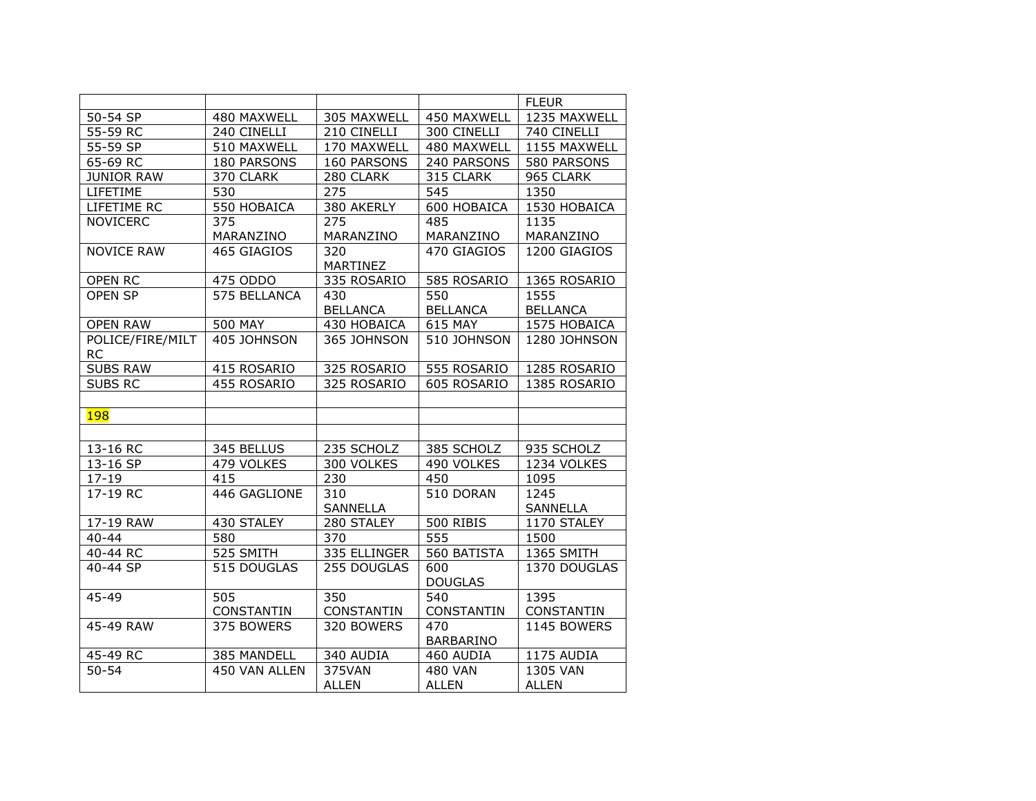|                        |                   |                   |                  | <b>FLEUR</b>      |
|------------------------|-------------------|-------------------|------------------|-------------------|
| 50-54 SP               | 480 MAXWELL       | 305 MAXWELL       | 450 MAXWELL      | 1235 MAXWELL      |
| 55-59 RC               | 240 CINELLI       | 210 CINELLI       | 300 CINELLI      | 740 CINELLI       |
| 55-59 SP               | 510 MAXWELL       | 170 MAXWELL       | 480 MAXWELL      | 1155 MAXWELL      |
| 65-69 RC               | 180 PARSONS       | 160 PARSONS       | 240 PARSONS      | 580 PARSONS       |
| <b>JUNIOR RAW</b>      | 370 CLARK         | 280 CLARK         | 315 CLARK        | 965 CLARK         |
| LIFETIME               | 530               | 275               | 545              | 1350              |
| LIFETIME RC            | 550 HOBAICA       | 380 AKERLY        | 600 HOBAICA      | 1530 HOBAICA      |
| <b>NOVICERC</b>        | 375               | 275               | 485              | 1135              |
|                        | MARANZINO         | MARANZINO         | MARANZINO        | MARANZINO         |
| <b>NOVICE RAW</b>      | 465 GIAGIOS       | 320               | 470 GIAGIOS      | 1200 GIAGIOS      |
|                        |                   | MARTINEZ          |                  |                   |
| <b>OPEN RC</b>         | 475 ODDO          | 335 ROSARIO       | 585 ROSARIO      | 1365 ROSARIO      |
| OPEN SP                | 575 BELLANCA      | 430               | 550              | 1555              |
|                        |                   | <b>BELLANCA</b>   | <b>BELLANCA</b>  | <b>BELLANCA</b>   |
| <b>OPEN RAW</b>        | <b>500 MAY</b>    | 430 HOBAICA       | 615 MAY          | 1575 HOBAICA      |
| POLICE/FIRE/MILT       | 405 JOHNSON       | 365 JOHNSON       | 510 JOHNSON      | 1280 JOHNSON      |
| <b>RC</b>              |                   |                   |                  |                   |
| <b>SUBS RAW</b>        | 415 ROSARIO       | 325 ROSARIO       | 555 ROSARIO      | 1285 ROSARIO      |
| <b>SUBS RC</b>         | 455 ROSARIO       | 325 ROSARIO       | 605 ROSARIO      | 1385 ROSARIO      |
|                        |                   |                   |                  |                   |
| <b>198</b>             |                   |                   |                  |                   |
|                        |                   |                   |                  |                   |
| 13-16 RC               | 345 BELLUS        | 235 SCHOLZ        | 385 SCHOLZ       | 935 SCHOLZ        |
| 13-16 SP               | 479 VOLKES        | 300 VOLKES        | 490 VOLKES       | 1234 VOLKES       |
| $17 - 19$              | 415               | 230               | 450              | 1095              |
| 17-19 RC               | 446 GAGLIONE      | 310               | 510 DORAN        | 1245              |
|                        |                   | <b>SANNELLA</b>   |                  | SANNELLA          |
| 17-19 RAW              | 430 STALEY        | 280 STALEY        | <b>500 RIBIS</b> | 1170 STALEY       |
| $40 - 44$              | 580               | 370               | $\overline{555}$ | 1500              |
| 40-44 RC               | 525 SMITH         | 335 ELLINGER      | 560 BATISTA      | 1365 SMITH        |
| $\overline{40}$ -44 SP | 515 DOUGLAS       | 255 DOUGLAS       | 600              | 1370 DOUGLAS      |
|                        |                   |                   | <b>DOUGLAS</b>   |                   |
| 45-49                  | 505               | 350               | 540              | 1395              |
|                        | <b>CONSTANTIN</b> | <b>CONSTANTIN</b> | CONSTANTIN       | <b>CONSTANTIN</b> |
| 45-49 RAW              | 375 BOWERS        | 320 BOWERS        | 470              | 1145 BOWERS       |
|                        |                   |                   | <b>BARBARINO</b> |                   |
| 45-49 RC               | 385 MANDELL       | 340 AUDIA         | 460 AUDIA        | 1175 AUDIA        |
| $50 - 54$              | 450 VAN ALLEN     | 375VAN            | <b>480 VAN</b>   | 1305 VAN          |
|                        |                   | <b>ALLEN</b>      | <b>ALLEN</b>     | <b>ALLEN</b>      |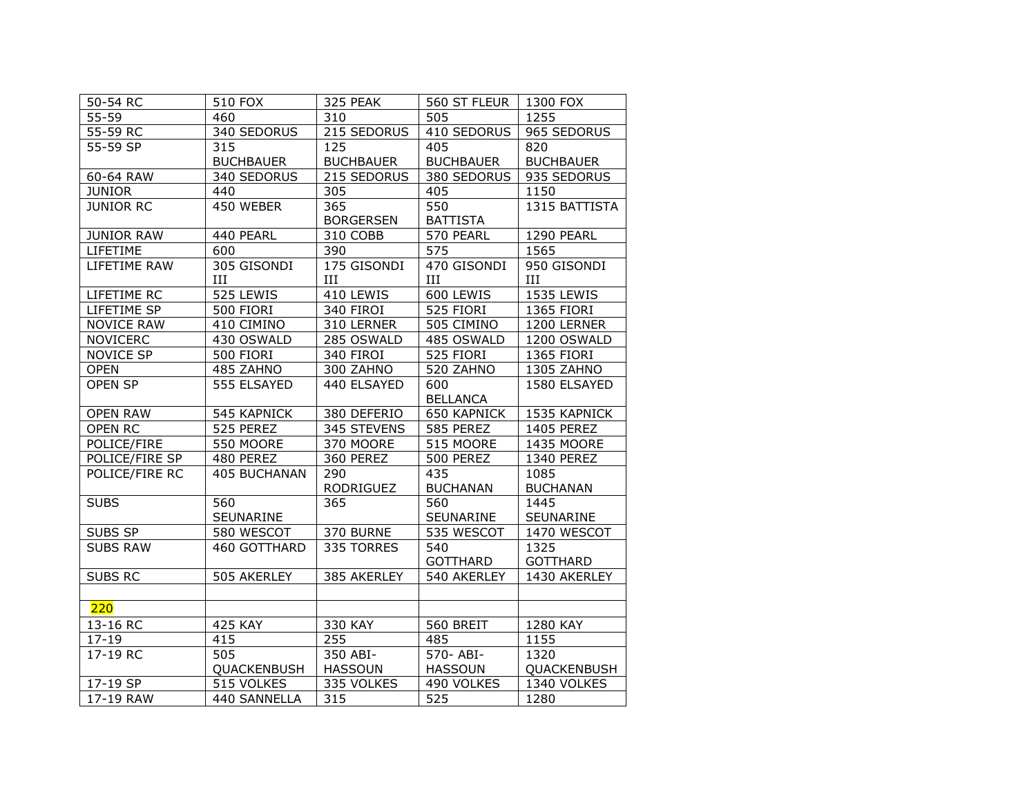| 50-54 RC          | 510 FOX          | 325 PEAK         | 560 ST FLEUR   1300 FOX |                  |
|-------------------|------------------|------------------|-------------------------|------------------|
| $55 - 59$         | 460              | 310              | 505                     | 1255             |
| 55-59 RC          | 340 SEDORUS      | 215 SEDORUS      | 410 SEDORUS             | 965 SEDORUS      |
| 55-59 SP          | 315              | 125              | 405                     | 820              |
|                   | <b>BUCHBAUER</b> | <b>BUCHBAUER</b> | <b>BUCHBAUER</b>        | <b>BUCHBAUER</b> |
| 60-64 RAW         | 340 SEDORUS      | 215 SEDORUS      | 380 SEDORUS             | 935 SEDORUS      |
| <b>JUNIOR</b>     | 440              | 305              | 405                     | 1150             |
| <b>JUNIOR RC</b>  | 450 WEBER        | 365              | 550                     | 1315 BATTISTA    |
|                   |                  | <b>BORGERSEN</b> | <b>BATTISTA</b>         |                  |
| <b>JUNIOR RAW</b> | 440 PEARL        | 310 COBB         | 570 PEARL               | 1290 PEARL       |
| LIFETIME          | 600              | 390              | 575                     | 1565             |
| LIFETIME RAW      | 305 GISONDI      | 175 GISONDI      | 470 GISONDI             | 950 GISONDI      |
|                   | III              | Ш                | Ш                       | $\rm III$        |
| LIFETIME RC       | 525 LEWIS        | 410 LEWIS        | 600 LEWIS               | 1535 LEWIS       |
| LIFETIME SP       | 500 FIORI        | 340 FIROI        | 525 FIORI               | 1365 FIORI       |
| <b>NOVICE RAW</b> | 410 CIMINO       | 310 LERNER       | 505 CIMINO              | 1200 LERNER      |
| <b>NOVICERC</b>   | 430 OSWALD       | 285 OSWALD       | 485 OSWALD              | 1200 OSWALD      |
| NOVICE SP         | 500 FIORI        | 340 FIROI        | 525 FIORI               | 1365 FIORI       |
| <b>OPEN</b>       | 485 ZAHNO        | 300 ZAHNO        | 520 ZAHNO               | 1305 ZAHNO       |
| <b>OPEN SP</b>    | 555 ELSAYED      | 440 ELSAYED      | 600                     | 1580 ELSAYED     |
|                   |                  |                  | <b>BELLANCA</b>         |                  |
| <b>OPEN RAW</b>   | 545 KAPNICK      | 380 DEFERIO      | 650 KAPNICK             | 1535 KAPNICK     |
| OPEN RC           | 525 PEREZ        | 345 STEVENS      | 585 PEREZ               | 1405 PEREZ       |
| POLICE/FIRE       | 550 MOORE        | 370 MOORE        | 515 MOORE               | 1435 MOORE       |
| POLICE/FIRE SP    | 480 PEREZ        | 360 PEREZ        | 500 PEREZ               | 1340 PEREZ       |
| POLICE/FIRE RC    | 405 BUCHANAN     | 290              | 435                     | 1085             |
|                   |                  | <b>RODRIGUEZ</b> | <b>BUCHANAN</b>         | <b>BUCHANAN</b>  |
| <b>SUBS</b>       | 560              | 365              | 560                     | 1445             |
|                   | SEUNARINE        |                  | SEUNARINE               | SEUNARINE        |
| SUBS SP           | 580 WESCOT       | 370 BURNE        | 535 WESCOT              | 1470 WESCOT      |
| <b>SUBS RAW</b>   | 460 GOTTHARD     | 335 TORRES       | 540                     | 1325             |
|                   |                  |                  | <b>GOTTHARD</b>         | <b>GOTTHARD</b>  |
| SUBS RC           | 505 AKERLEY      | 385 AKERLEY      | 540 AKERLEY             | 1430 AKERLEY     |
|                   |                  |                  |                         |                  |
| 220               |                  |                  |                         |                  |
| 13-16 RC          | 425 KAY          | 330 KAY          | 560 BREIT               | 1280 KAY         |
| $17 - 19$         | 415              | 255              | 485                     | 1155             |
| 17-19 RC          | 505              | 350 ABI-         | 570-ABI-                | 1320             |
|                   | QUACKENBUSH      | <b>HASSOUN</b>   | <b>HASSOUN</b>          | QUACKENBUSH      |
| $17-19$ SP        | 515 VOLKES       | 335 VOLKES       | 490 VOLKES              | 1340 VOLKES      |
| 17-19 RAW         | 440 SANNELLA     | 315              | 525                     | 1280             |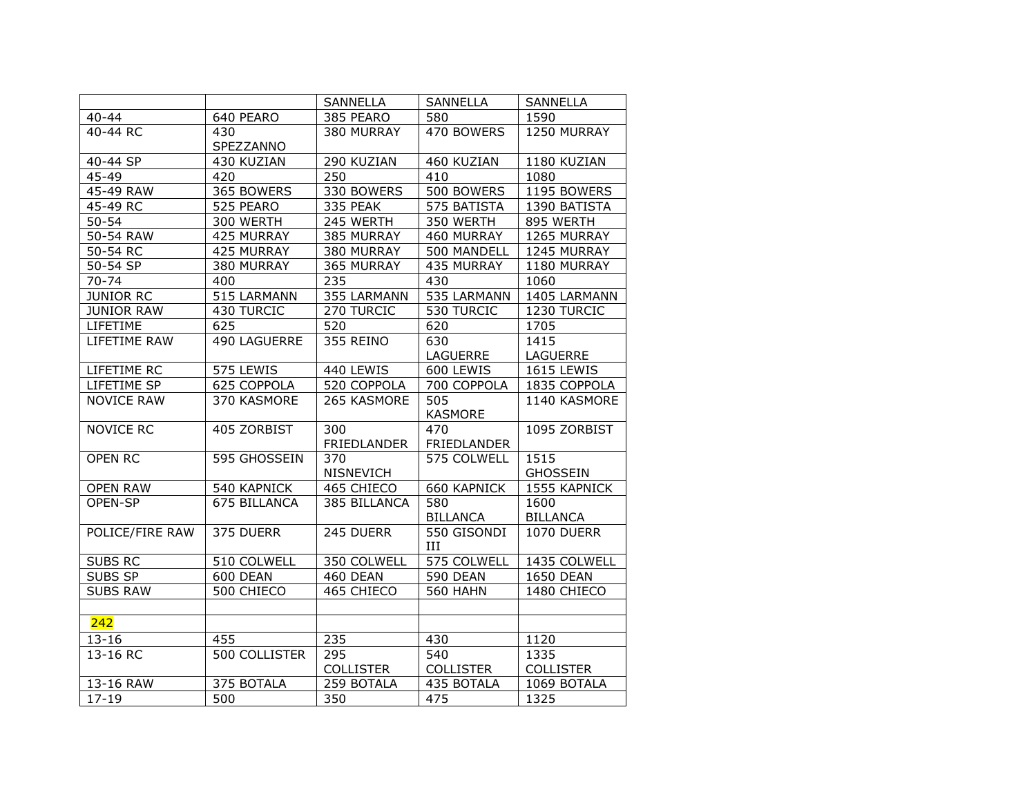|                   |               | SANNELLA         | SANNELLA           | <b>SANNELLA</b>   |
|-------------------|---------------|------------------|--------------------|-------------------|
| $40 - 44$         | 640 PEARO     | 385 PEARO        | 580                | 1590              |
| 40-44 RC          | 430           | 380 MURRAY       | 470 BOWERS         | 1250 MURRAY       |
|                   | SPEZZANNO     |                  |                    |                   |
| 40-44 SP          | 430 KUZIAN    | 290 KUZIAN       | 460 KUZIAN         | 1180 KUZIAN       |
| 45-49             | 420           | 250              | 410                | 1080              |
| 45-49 RAW         | 365 BOWERS    | 330 BOWERS       | 500 BOWERS         | 1195 BOWERS       |
| 45-49 RC          | 525 PEARO     | 335 PEAK         | 575 BATISTA        | 1390 BATISTA      |
| $50 - 54$         | 300 WERTH     | 245 WERTH        | 350 WERTH          | 895 WERTH         |
| 50-54 RAW         | 425 MURRAY    | 385 MURRAY       | 460 MURRAY         | 1265 MURRAY       |
| 50-54 RC          | 425 MURRAY    | 380 MURRAY       | 500 MANDELL        | 1245 MURRAY       |
| 50-54 SP          | 380 MURRAY    | 365 MURRAY       | 435 MURRAY         | 1180 MURRAY       |
| 70-74             | 400           | 235              | 430                | 1060              |
| <b>JUNIOR RC</b>  | 515 LARMANN   | 355 LARMANN      | 535 LARMANN        | 1405 LARMANN      |
| <b>JUNIOR RAW</b> | 430 TURCIC    | 270 TURCIC       | 530 TURCIC         | 1230 TURCIC       |
| LIFETIME          | 625           | 520              | 620                | 1705              |
| LIFETIME RAW      | 490 LAGUERRE  | 355 REINO        | 630                | 1415              |
|                   |               |                  | LAGUERRE           | LAGUERRE          |
| LIFETIME RC       | 575 LEWIS     | 440 LEWIS        | 600 LEWIS          | 1615 LEWIS        |
| LIFETIME SP       | 625 COPPOLA   | 520 COPPOLA      | 700 COPPOLA        | 1835 COPPOLA      |
| <b>NOVICE RAW</b> | 370 KASMORE   | 265 KASMORE      | 505                | 1140 KASMORE      |
|                   |               |                  | <b>KASMORE</b>     |                   |
| NOVICE RC         | 405 ZORBIST   | 300              | 470                | 1095 ZORBIST      |
|                   |               | FRIEDLANDER      | <b>FRIEDLANDER</b> |                   |
| <b>OPEN RC</b>    | 595 GHOSSEIN  | 370              | 575 COLWELL        | 1515              |
|                   |               | NISNEVICH        |                    | <b>GHOSSEIN</b>   |
| <b>OPEN RAW</b>   | 540 KAPNICK   | 465 CHIECO       | <b>660 KAPNICK</b> | 1555 KAPNICK      |
| OPEN-SP           | 675 BILLANCA  | 385 BILLANCA     | 580                | 1600              |
|                   |               |                  | <b>BILLANCA</b>    | <b>BILLANCA</b>   |
| POLICE/FIRE RAW   | 375 DUERR     | 245 DUERR        | 550 GISONDI<br>Ш   | <b>1070 DUERR</b> |
| SUBS RC           | 510 COLWELL   | 350 COLWELL      | 575 COLWELL        | 1435 COLWELL      |
| SUBS SP           | 600 DEAN      | 460 DEAN         | <b>590 DEAN</b>    | <b>1650 DEAN</b>  |
| <b>SUBS RAW</b>   | 500 CHIECO    | 465 CHIECO       | <b>560 HAHN</b>    | 1480 CHIECO       |
|                   |               |                  |                    |                   |
| 242               |               |                  |                    |                   |
| $13 - 16$         | 455           | 235              | 430                | 1120              |
| 13-16 RC          | 500 COLLISTER | 295              | 540                | 1335              |
|                   |               | <b>COLLISTER</b> | <b>COLLISTER</b>   | <b>COLLISTER</b>  |
| 13-16 RAW         | 375 BOTALA    | 259 BOTALA       | 435 BOTALA         | 1069 BOTALA       |
| $17 - 19$         | 500           | 350              | 475                | 1325              |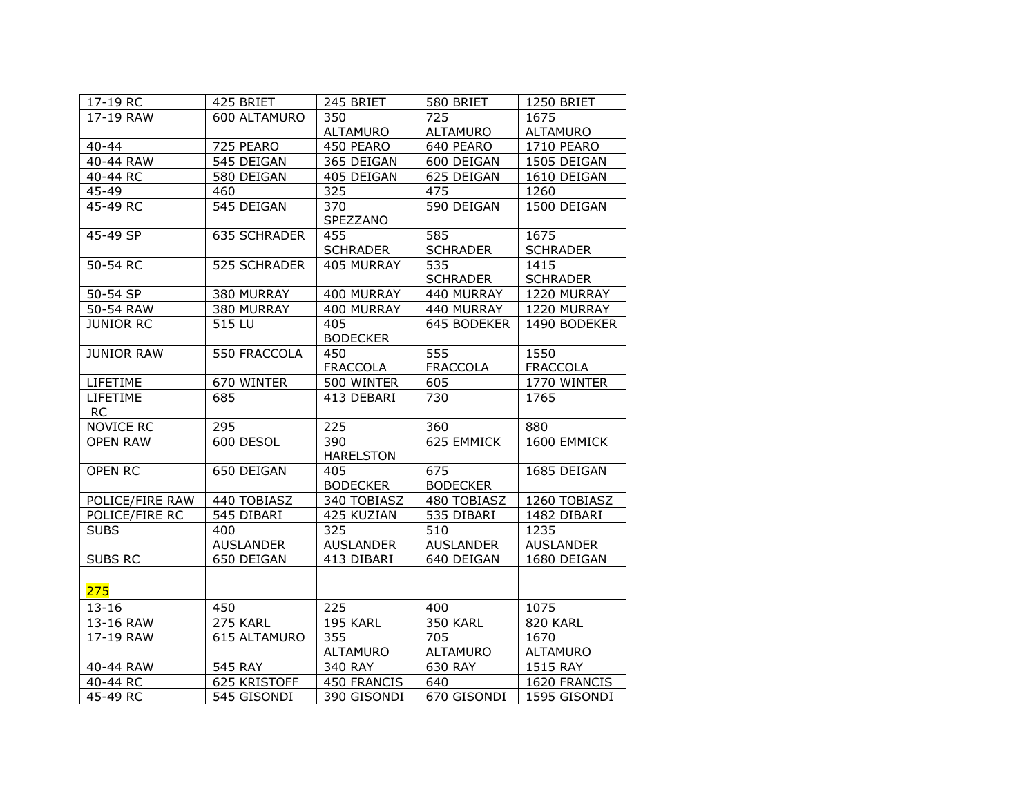| 17-19 RC                  | 425 BRIET           |                         | 580 BRIET              | 1250 BRIET              |
|---------------------------|---------------------|-------------------------|------------------------|-------------------------|
| 17-19 RAW<br>600 ALTAMURO |                     | 350                     | 725                    | 1675                    |
|                           |                     | <b>ALTAMURO</b>         | <b>ALTAMURO</b>        | <b>ALTAMURO</b>         |
| $40 - 44$                 | 725 PEARO           | 450 PEARO               | 640 PEARO              | 1710 PEARO              |
| 40-44 RAW                 | 545 DEIGAN          | 365 DEIGAN              | 600 DEIGAN             | 1505 DEIGAN             |
| $40 - 44$ RC              | 580 DEIGAN          | 405 DEIGAN              | 625 DEIGAN             | 1610 DEIGAN             |
| 45-49                     | 460                 | 325                     | 475                    | 1260                    |
| 45-49 RC                  | 545 DEIGAN          | 370<br>SPEZZANO         | 590 DEIGAN             | 1500 DEIGAN             |
| 45-49 SP                  | <b>635 SCHRADER</b> | 455<br><b>SCHRADER</b>  | 585<br><b>SCHRADER</b> | 1675<br><b>SCHRADER</b> |
| 50-54 RC                  | 525 SCHRADER        | 405 MURRAY              | 535<br><b>SCHRADER</b> | 1415<br><b>SCHRADER</b> |
| 50-54 SP                  | 380 MURRAY          | 400 MURRAY              | 440 MURRAY             | 1220 MURRAY             |
| 50-54 RAW                 | 380 MURRAY          | 400 MURRAY              | 440 MURRAY             | 1220 MURRAY             |
| <b>JUNIOR RC</b>          | 515 LU              | 405<br><b>BODECKER</b>  | 645 BODEKER            | 1490 BODEKER            |
| <b>JUNIOR RAW</b>         | 550 FRACCOLA        | 450                     | $\overline{555}$       | 1550                    |
|                           |                     | FRACCOLA                | FRACCOLA               | <b>FRACCOLA</b>         |
| LIFETIME                  | 670 WINTER          | 500 WINTER              | 605                    | 1770 WINTER             |
| LIFETIME<br><b>RC</b>     | 685                 | 413 DEBARI              | 730                    | 1765                    |
| <b>NOVICE RC</b>          | 295                 | 225                     | 360                    | 880                     |
| <b>OPEN RAW</b>           | 600 DESOL           | 390<br><b>HARELSTON</b> | 625 EMMICK             | 1600 EMMICK             |
| <b>OPEN RC</b>            | 650 DEIGAN          | 405<br><b>BODECKER</b>  | 675<br><b>BODECKER</b> | 1685 DEIGAN             |
| POLICE/FIRE RAW           | 440 TOBIASZ         | 340 TOBIASZ             | 480 TOBIASZ            | 1260 TOBIASZ            |
| POLICE/FIRE RC            | 545 DIBARI          | 425 KUZIAN              | 535 DIBARI             | 1482 DIBARI             |
| <b>SUBS</b>               | 400                 | 325                     | 510                    | 1235                    |
|                           | <b>AUSLANDER</b>    | <b>AUSLANDER</b>        | <b>AUSLANDER</b>       | <b>AUSLANDER</b>        |
| SUBS RC                   | 650 DEIGAN          | 413 DIBARI              | 640 DEIGAN             | 1680 DEIGAN             |
|                           |                     |                         |                        |                         |
| 275                       |                     |                         |                        |                         |
| $13 - 16$                 | 450                 | 225                     | 400                    | 1075                    |
| 13-16 RAW                 | 275 KARL            | 195 KARL                | <b>350 KARL</b>        | 820 KARL                |
| 17-19 RAW                 | 615 ALTAMURO        | 355<br>ALTAMURO         | 705<br>ALTAMURO        | 1670<br>ALTAMURO        |
| 40-44 RAW                 | 545 RAY             | 340 RAY                 | 630 RAY                | 1515 RAY                |
| $40 - 44$ RC              | 625 KRISTOFF        | 450 FRANCIS             | 640                    | 1620 FRANCIS            |
| 45-49 RC                  | 545 GISONDI         | 390 GISONDI             | 670 GISONDI            | 1595 GISONDI            |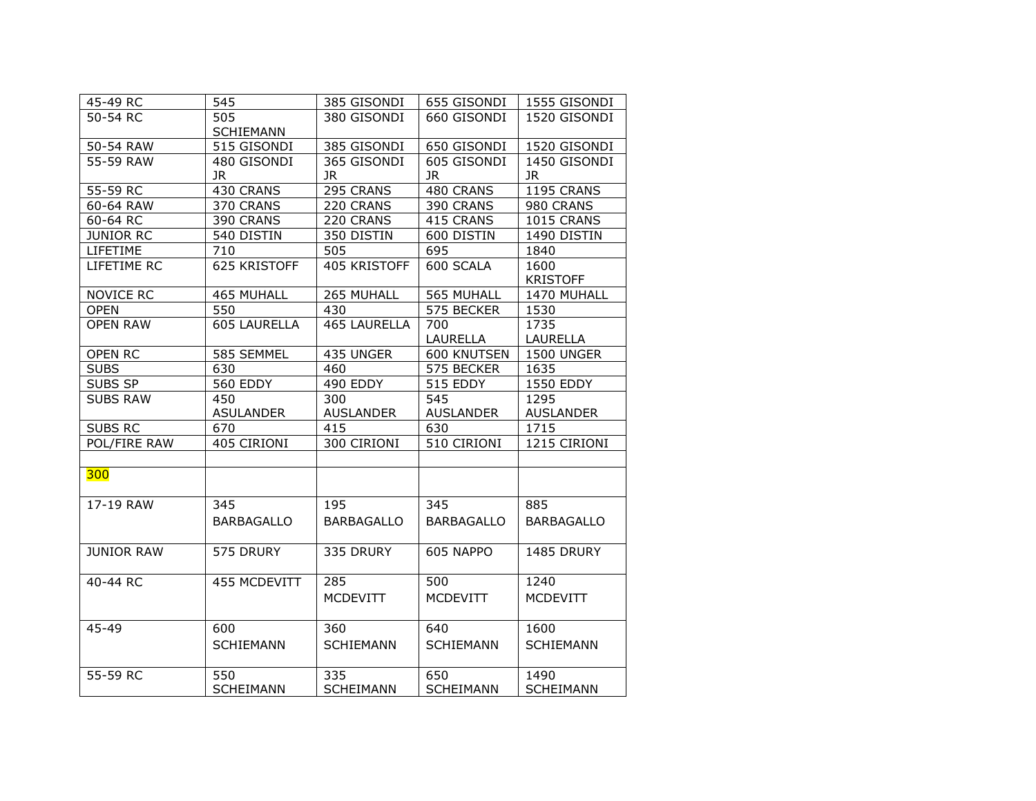| 45-49 RC          | 545               | 385 GISONDI       | 655 GISONDI       | 1555 GISONDI      |
|-------------------|-------------------|-------------------|-------------------|-------------------|
| 50-54 RC          | 505               | 380 GISONDI       | 660 GISONDI       | 1520 GISONDI      |
|                   | <b>SCHIEMANN</b>  |                   |                   |                   |
| 50-54 RAW         | 515 GISONDI       | 385 GISONDI       | 650 GISONDI       | 1520 GISONDI      |
| 55-59 RAW         | 480 GISONDI       | 365 GISONDI       | 605 GISONDI       | 1450 GISONDI      |
|                   | JR.               | JR.               | JR.               | <b>JR</b>         |
| 55-59 RC          | 430 CRANS         | 295 CRANS         | 480 CRANS         | <b>1195 CRANS</b> |
| 60-64 RAW         | 370 CRANS         | 220 CRANS         | 390 CRANS         | 980 CRANS         |
| 60-64 RC          | 390 CRANS         | 220 CRANS         | 415 CRANS         | 1015 CRANS        |
| <b>JUNIOR RC</b>  | 540 DISTIN        | 350 DISTIN        | 600 DISTIN        | 1490 DISTIN       |
| LIFETIME          | 710               | 505               | 695               | 1840              |
| LIFETIME RC       | 625 KRISTOFF      | 405 KRISTOFF      | 600 SCALA         | 1600              |
|                   |                   |                   |                   | <b>KRISTOFF</b>   |
| NOVICE RC         | 465 MUHALL        | 265 MUHALL        | 565 MUHALL        | 1470 MUHALL       |
| <b>OPEN</b>       | 550               | 430               | 575 BECKER        | 1530              |
| <b>OPEN RAW</b>   | 605 LAURELLA      | 465 LAURELLA      | 700               | 1735              |
|                   |                   |                   | LAURELLA          | LAURELLA          |
| OPEN RC           | 585 SEMMEL        | 435 UNGER         | 600 KNUTSEN       | 1500 UNGER        |
| <b>SUBS</b>       | 630               | 460               | 575 BECKER        | 1635              |
| SUBS SP           | <b>560 EDDY</b>   | 490 EDDY          | 515 EDDY          | 1550 EDDY         |
| <b>SUBS RAW</b>   | 450               | 300               | 545               | 1295              |
|                   | <b>ASULANDER</b>  | <b>AUSLANDER</b>  | <b>AUSLANDER</b>  | <b>AUSLANDER</b>  |
| <b>SUBS RC</b>    | 670               | 415               | 630               | 1715              |
| POL/FIRE RAW      | 405 CIRIONI       | 300 CIRIONI       | 510 CIRIONI       | 1215 CIRIONI      |
|                   |                   |                   |                   |                   |
| 300               |                   |                   |                   |                   |
|                   |                   |                   |                   |                   |
| 17-19 RAW         | 345               | 195               | 345               | 885               |
|                   | <b>BARBAGALLO</b> | <b>BARBAGALLO</b> | <b>BARBAGALLO</b> | <b>BARBAGALLO</b> |
|                   |                   |                   |                   |                   |
| <b>JUNIOR RAW</b> | 575 DRURY         | 335 DRURY         | 605 NAPPO         | 1485 DRURY        |
|                   |                   |                   |                   |                   |
| 40-44 RC          | 455 MCDEVITT      | 285               | 500               | 1240              |
|                   |                   | <b>MCDEVITT</b>   | <b>MCDEVITT</b>   | <b>MCDEVITT</b>   |
|                   |                   |                   |                   |                   |
| 45-49             | 600               | 360               | 640               | 1600              |
|                   | <b>SCHIEMANN</b>  | <b>SCHIEMANN</b>  | <b>SCHIEMANN</b>  | <b>SCHIEMANN</b>  |
|                   |                   |                   |                   |                   |
| 55-59 RC          | 550               | 335               | 650               | 1490              |
|                   | <b>SCHEIMANN</b>  | <b>SCHEIMANN</b>  | <b>SCHEIMANN</b>  | <b>SCHEIMANN</b>  |
|                   |                   |                   |                   |                   |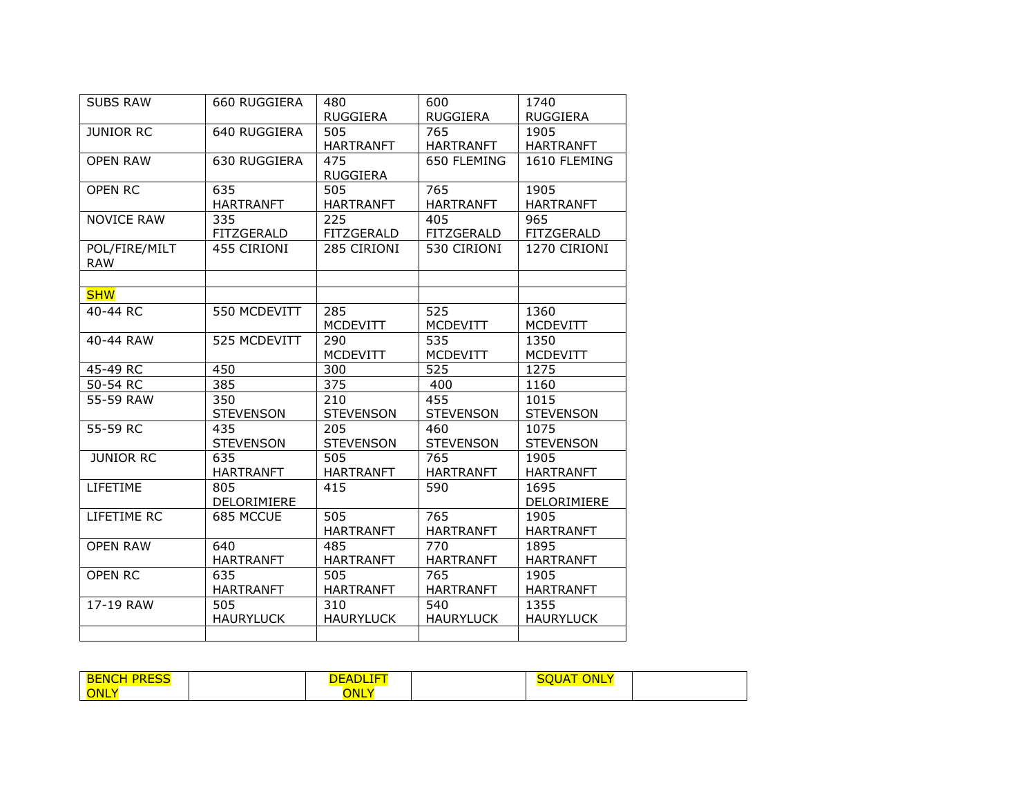| <b>SUBS RAW</b>             | 660 RUGGIERA     | 480<br>RUGGIERA  | 600<br><b>RUGGIERA</b> | 1740<br><b>RUGGIERA</b> |
|-----------------------------|------------------|------------------|------------------------|-------------------------|
| <b>JUNIOR RC</b>            | 640 RUGGIERA     | 505              | 765                    | 1905                    |
|                             |                  | <b>HARTRANFT</b> | <b>HARTRANFT</b>       | <b>HARTRANFT</b>        |
| <b>OPEN RAW</b>             | 630 RUGGIERA     | 475              | 650 FLEMING            | 1610 FLEMING            |
|                             |                  | RUGGIERA         |                        |                         |
| <b>OPEN RC</b>              | 635              | 505              | 765                    | 1905                    |
|                             | <b>HARTRANFT</b> | <b>HARTRANFT</b> | <b>HARTRANFT</b>       | <b>HARTRANFT</b>        |
| <b>NOVICE RAW</b>           | 335              | 225              | 405                    | 965                     |
|                             | FITZGERALD       | FITZGERALD       | FITZGERALD             | FITZGERALD              |
| POL/FIRE/MILT<br><b>RAW</b> | 455 CIRIONI      | 285 CIRIONI      | 530 CIRIONI            | 1270 CIRIONI            |
|                             |                  |                  |                        |                         |
| <b>SHW</b>                  |                  |                  |                        |                         |
| 40-44 RC                    | 550 MCDEVITT     | 285              | 525                    | 1360                    |
|                             |                  | <b>MCDEVITT</b>  | <b>MCDEVITT</b>        | <b>MCDEVITT</b>         |
| 40-44 RAW                   | 525 MCDEVITT     | 290              | 535                    | 1350                    |
|                             |                  | <b>MCDEVITT</b>  | <b>MCDEVITT</b>        | <b>MCDEVITT</b>         |
| 45-49 RC                    | 450              | 300              | 525                    | 1275                    |
| 50-54 RC                    | 385              | 375              | 400                    | 1160                    |
| 55-59 RAW                   | 350              | 210              | 455                    | 1015                    |
|                             | <b>STEVENSON</b> | <b>STEVENSON</b> | <b>STEVENSON</b>       | <b>STEVENSON</b>        |
| 55-59 RC                    | 435              | 205              | 460                    | 1075                    |
|                             | <b>STEVENSON</b> | <b>STEVENSON</b> | <b>STEVENSON</b>       | <b>STEVENSON</b>        |
| <b>JUNIOR RC</b>            | 635              | 505              | 765                    | 1905                    |
|                             | <b>HARTRANFT</b> | <b>HARTRANFT</b> | <b>HARTRANFT</b>       | <b>HARTRANFT</b>        |
| LIFETIME                    | 805              | 415              | 590                    | 1695                    |
|                             | DELORIMIERE      |                  |                        | DELORIMIERE             |
| LIFETIME RC                 | 685 MCCUE        | 505              | 765                    | 1905                    |
|                             |                  | <b>HARTRANFT</b> | <b>HARTRANFT</b>       | <b>HARTRANFT</b>        |
| <b>OPEN RAW</b>             | 640              | 485              | 770                    | 1895                    |
|                             | <b>HARTRANFT</b> | <b>HARTRANFT</b> | <b>HARTRANFT</b>       | <b>HARTRANFT</b>        |
| <b>OPEN RC</b>              | 635              | 505              | 765                    | 1905                    |
|                             | <b>HARTRANFT</b> | <b>HARTRANFT</b> | <b>HARTRANFT</b>       | <b>HARTRANFT</b>        |
| 17-19 RAW                   | 505              | 310              | 540                    | 1355                    |
|                             | <b>HAURYLUCK</b> | <b>HAURYLUCK</b> | <b>HAURYLUCK</b>       | <b>HAURYLUCK</b>        |
|                             |                  |                  |                        |                         |

| $- - -$<br>$-$<br>BE<br>NC.<br><b>PRESS</b> | ----<br>DEADL. | ONLY<br>JUA |
|---------------------------------------------|----------------|-------------|
| ONLY                                        | <b>ONL</b>     |             |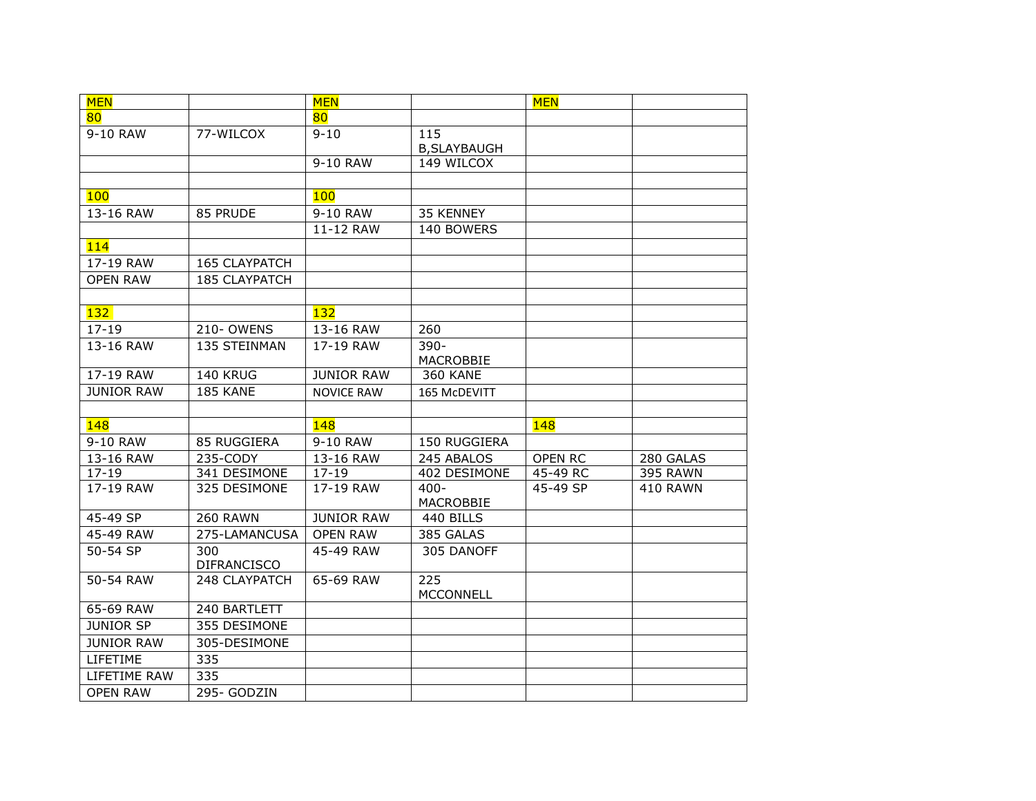| <b>MEN</b>        |                                  | <b>MEN</b>        |                    | <b>MEN</b> |                 |
|-------------------|----------------------------------|-------------------|--------------------|------------|-----------------|
| 80                |                                  | 80                |                    |            |                 |
| 9-10 RAW          | 77-WILCOX                        | $9 - 10$          | 115                |            |                 |
|                   |                                  |                   | <b>B,SLAYBAUGH</b> |            |                 |
|                   |                                  | 9-10 RAW          | 149 WILCOX         |            |                 |
|                   |                                  |                   |                    |            |                 |
| 100               |                                  | <b>100</b>        |                    |            |                 |
| 13-16 RAW         | 85 PRUDE                         | 9-10 RAW          | 35 KENNEY          |            |                 |
|                   |                                  | 11-12 RAW         | 140 BOWERS         |            |                 |
| 114               |                                  |                   |                    |            |                 |
| 17-19 RAW         | 165 CLAYPATCH                    |                   |                    |            |                 |
| <b>OPEN RAW</b>   | <b>185 CLAYPATCH</b>             |                   |                    |            |                 |
|                   |                                  |                   |                    |            |                 |
| 132               |                                  | 132               |                    |            |                 |
| $17 - 19$         | 210-OWENS                        | 13-16 RAW         | 260                |            |                 |
| 13-16 RAW         | 135 STEINMAN                     | 17-19 RAW         | $390 -$            |            |                 |
|                   |                                  |                   | MACROBBIE          |            |                 |
| 17-19 RAW         | <b>140 KRUG</b>                  | <b>JUNIOR RAW</b> | <b>360 KANE</b>    |            |                 |
| <b>JUNIOR RAW</b> | 185 KANE                         | <b>NOVICE RAW</b> | 165 McDEVITT       |            |                 |
|                   |                                  |                   |                    |            |                 |
| 148               |                                  | 148               |                    | 148        |                 |
| 9-10 RAW          | 85 RUGGIERA                      | 9-10 RAW          | 150 RUGGIERA       |            |                 |
| 13-16 RAW         | 235-CODY                         | 13-16 RAW         | 245 ABALOS         | OPEN RC    | 280 GALAS       |
| $17 - 19$         | 341 DESIMONE                     | $17 - 19$         | 402 DESIMONE       | 45-49 RC   | 395 RAWN        |
| 17-19 RAW         | 325 DESIMONE                     | 17-19 RAW         | $400 -$            | 45-49 SP   | <b>410 RAWN</b> |
| 45-49 SP          |                                  | <b>JUNIOR RAW</b> | MACROBBIE          |            |                 |
| 45-49 RAW         | <b>260 RAWN</b><br>275-LAMANCUSA |                   | 440 BILLS          |            |                 |
|                   |                                  | <b>OPEN RAW</b>   | 385 GALAS          |            |                 |
| 50-54 SP          | 300<br><b>DIFRANCISCO</b>        | 45-49 RAW         | 305 DANOFF         |            |                 |
| 50-54 RAW         | 248 CLAYPATCH                    | 65-69 RAW         | 225                |            |                 |
|                   |                                  |                   | <b>MCCONNELL</b>   |            |                 |
| 65-69 RAW         | 240 BARTLETT                     |                   |                    |            |                 |
| <b>JUNIOR SP</b>  | 355 DESIMONE                     |                   |                    |            |                 |
| <b>JUNIOR RAW</b> | 305-DESIMONE                     |                   |                    |            |                 |
| LIFETIME          | 335                              |                   |                    |            |                 |
| LIFETIME RAW      | 335                              |                   |                    |            |                 |
| <b>OPEN RAW</b>   | 295- GODZIN                      |                   |                    |            |                 |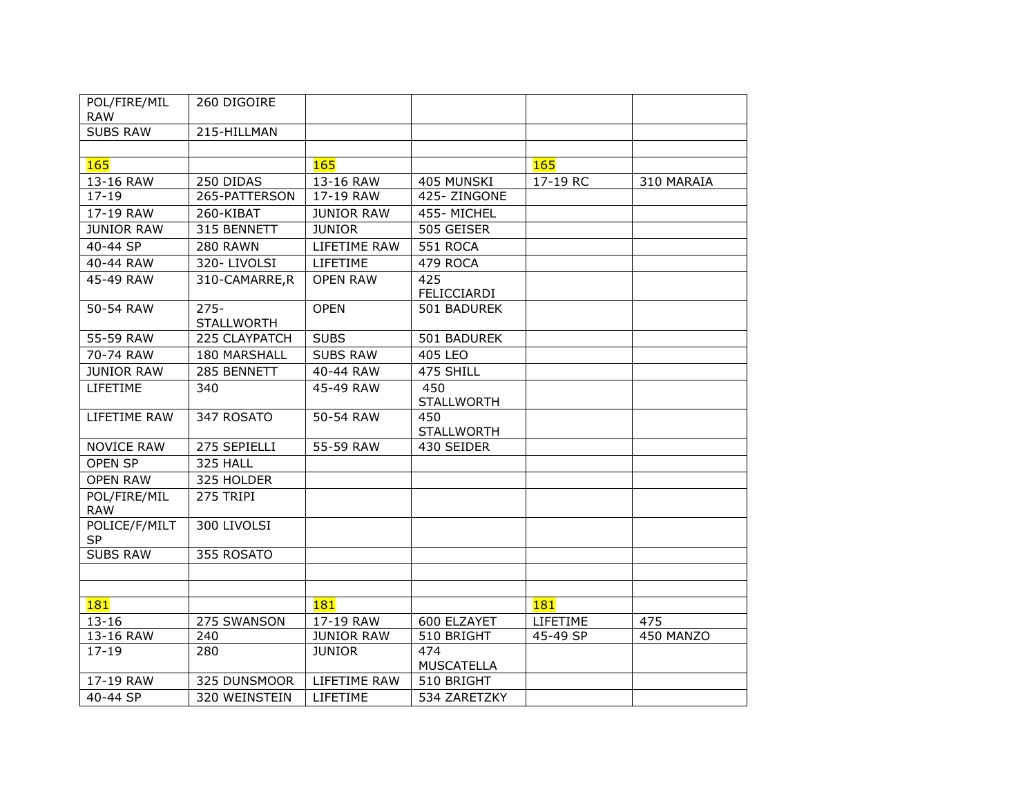| POL/FIRE/MIL<br><b>RAW</b> | 260 DIGOIRE                  |                   |                          |          |            |
|----------------------------|------------------------------|-------------------|--------------------------|----------|------------|
| <b>SUBS RAW</b>            | 215-HILLMAN                  |                   |                          |          |            |
|                            |                              |                   |                          |          |            |
| 165                        |                              | 165               |                          | 165      |            |
| 13-16 RAW                  | 250 DIDAS                    | 13-16 RAW         | 405 MUNSKI               | 17-19 RC | 310 MARAIA |
| $17 - 19$                  | 265-PATTERSON                | 17-19 RAW         | 425-ZINGONE              |          |            |
| 17-19 RAW                  | 260-KIBAT                    | <b>JUNIOR RAW</b> | 455-MICHEL               |          |            |
| <b>JUNIOR RAW</b>          | 315 BENNETT                  | <b>JUNIOR</b>     | 505 GEISER               |          |            |
| 40-44 SP                   | <b>280 RAWN</b>              | LIFETIME RAW      | 551 ROCA                 |          |            |
| 40-44 RAW                  | 320-LIVOLSI                  | LIFETIME          | 479 ROCA                 |          |            |
| 45-49 RAW                  | 310-CAMARRE,R                | <b>OPEN RAW</b>   | 425<br>FELICCIARDI       |          |            |
| 50-54 RAW                  | $275 -$<br><b>STALLWORTH</b> | <b>OPEN</b>       | 501 BADUREK              |          |            |
| 55-59 RAW                  | 225 CLAYPATCH                | <b>SUBS</b>       | 501 BADUREK              |          |            |
| 70-74 RAW                  | 180 MARSHALL                 | <b>SUBS RAW</b>   | 405 LEO                  |          |            |
| <b>JUNIOR RAW</b>          | 285 BENNETT                  | 40-44 RAW         | 475 SHILL                |          |            |
| LIFETIME                   | 340                          | 45-49 RAW         | 450<br><b>STALLWORTH</b> |          |            |
| LIFETIME RAW               | 347 ROSATO                   | 50-54 RAW         | 450<br><b>STALLWORTH</b> |          |            |
| <b>NOVICE RAW</b>          | 275 SEPIELLI                 | 55-59 RAW         | 430 SEIDER               |          |            |
| <b>OPEN SP</b>             | 325 HALL                     |                   |                          |          |            |
| <b>OPEN RAW</b>            | 325 HOLDER                   |                   |                          |          |            |
| POL/FIRE/MIL<br><b>RAW</b> | 275 TRIPI                    |                   |                          |          |            |
| POLICE/F/MILT<br><b>SP</b> | 300 LIVOLSI                  |                   |                          |          |            |
| <b>SUBS RAW</b>            | 355 ROSATO                   |                   |                          |          |            |
|                            |                              |                   |                          |          |            |
|                            |                              |                   |                          |          |            |
| 181                        |                              | <b>181</b>        |                          | 181      |            |
| $13 - 16$                  | 275 SWANSON                  | 17-19 RAW         | 600 ELZAYET              | LIFETIME | 475        |
| 13-16 RAW                  | 240                          | <b>JUNIOR RAW</b> | 510 BRIGHT               | 45-49 SP | 450 MANZO  |
| $17 - 19$                  | 280                          | <b>JUNIOR</b>     | 474<br>MUSCATELLA        |          |            |
| 17-19 RAW                  | 325 DUNSMOOR                 | LIFETIME RAW      | 510 BRIGHT               |          |            |
| 40-44 SP                   | 320 WEINSTEIN                | LIFETIME          | 534 ZARETZKY             |          |            |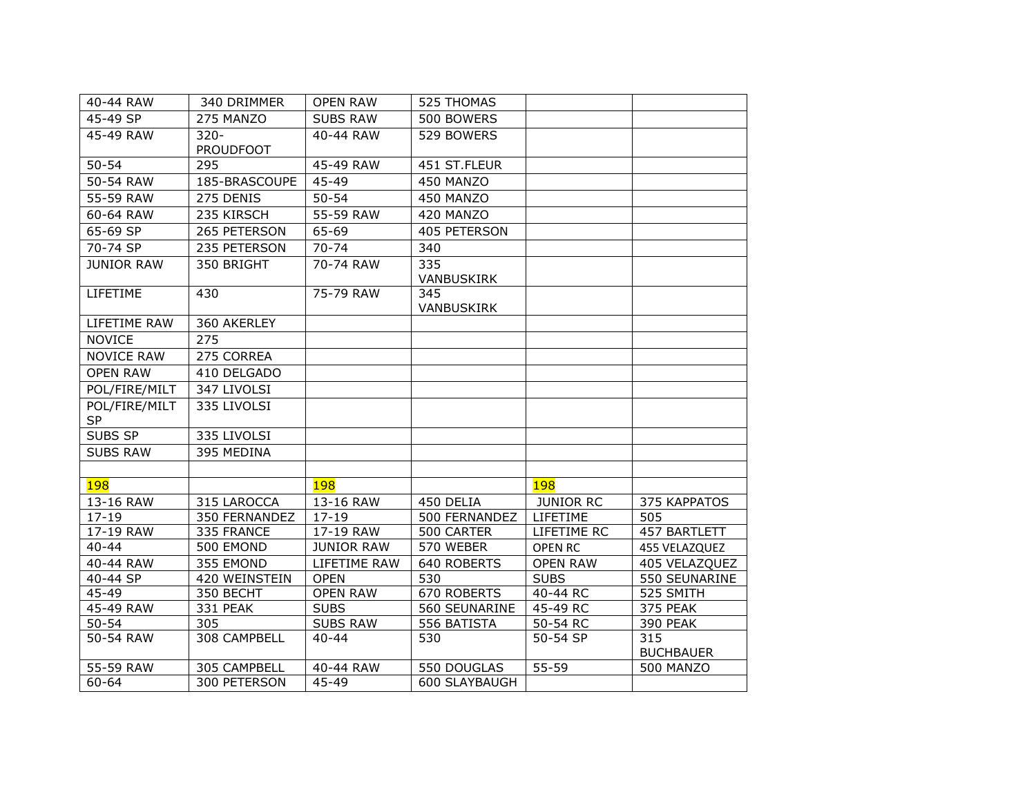| 40-44 RAW          | 340 DRIMMER      | <b>OPEN RAW</b>   | 525 THOMAS        |                  |                  |
|--------------------|------------------|-------------------|-------------------|------------------|------------------|
| $45-49$ SP         | 275 MANZO        | <b>SUBS RAW</b>   | 500 BOWERS        |                  |                  |
| 45-49 RAW          | $320 -$          | 40-44 RAW         | 529 BOWERS        |                  |                  |
|                    | <b>PROUDFOOT</b> |                   |                   |                  |                  |
| $50 - 54$          | 295              | 45-49 RAW         | 451 ST.FLEUR      |                  |                  |
| 50-54 RAW          | 185-BRASCOUPE    | 45-49             | 450 MANZO         |                  |                  |
| 55-59 RAW          | 275 DENIS        | $50 - 54$         | 450 MANZO         |                  |                  |
| 60-64 RAW          | 235 KIRSCH       | 55-59 RAW         | 420 MANZO         |                  |                  |
| 65-69 SP           | 265 PETERSON     | 65-69             | 405 PETERSON      |                  |                  |
| 70-74 SP           | 235 PETERSON     | $70 - 74$         | 340               |                  |                  |
| <b>JUNIOR RAW</b>  | 350 BRIGHT       | 70-74 RAW         | 335               |                  |                  |
|                    |                  |                   | <b>VANBUSKIRK</b> |                  |                  |
| LIFETIME           | 430              | 75-79 RAW         | 345               |                  |                  |
|                    |                  |                   | VANBUSKIRK        |                  |                  |
| LIFETIME RAW       | 360 AKERLEY      |                   |                   |                  |                  |
| <b>NOVICE</b>      | 275              |                   |                   |                  |                  |
| <b>NOVICE RAW</b>  | 275 CORREA       |                   |                   |                  |                  |
| <b>OPEN RAW</b>    | 410 DELGADO      |                   |                   |                  |                  |
| POL/FIRE/MILT      | 347 LIVOLSI      |                   |                   |                  |                  |
| POL/FIRE/MILT      | 335 LIVOLSI      |                   |                   |                  |                  |
| <b>SP</b>          |                  |                   |                   |                  |                  |
| SUBS SP            | 335 LIVOLSI      |                   |                   |                  |                  |
| <b>SUBS RAW</b>    | 395 MEDINA       |                   |                   |                  |                  |
|                    |                  |                   |                   |                  |                  |
| <b>198</b>         |                  | <b>198</b>        |                   | <b>198</b>       |                  |
| 13-16 RAW          | 315 LAROCCA      | 13-16 RAW         | 450 DELIA         | <b>JUNIOR RC</b> | 375 KAPPATOS     |
| $\overline{17-19}$ | 350 FERNANDEZ    | $17 - 19$         | 500 FERNANDEZ     | LIFETIME         | 505              |
| 17-19 RAW          | 335 FRANCE       | 17-19 RAW         | 500 CARTER        | LIFETIME RC      | 457 BARTLETT     |
| $40 - 44$          | 500 EMOND        | <b>JUNIOR RAW</b> | 570 WEBER         | <b>OPEN RC</b>   | 455 VELAZQUEZ    |
| 40-44 RAW          | 355 EMOND        | LIFETIME RAW      | 640 ROBERTS       | <b>OPEN RAW</b>  | 405 VELAZQUEZ    |
| 40-44 SP           | 420 WEINSTEIN    | <b>OPEN</b>       | 530               | <b>SUBS</b>      | 550 SEUNARINE    |
| 45-49              | 350 BECHT        | <b>OPEN RAW</b>   | 670 ROBERTS       | 40-44 RC         | 525 SMITH        |
| 45-49 RAW          | 331 PEAK         | <b>SUBS</b>       | 560 SEUNARINE     | 45-49 RC         | $375$ PEAK       |
| $50 - 54$          | 305              | <b>SUBS RAW</b>   | 556 BATISTA       | 50-54 RC         | 390 PEAK         |
| 50-54 RAW          | 308 CAMPBELL     | $40 - 44$         | 530               | 50-54 SP         | 315              |
|                    |                  |                   |                   | 55-59            | <b>BUCHBAUER</b> |
| 55-59 RAW          | 305 CAMPBELL     | 40-44 RAW         | 550 DOUGLAS       |                  | <b>500 MANZO</b> |
| $60 - 64$          | 300 PETERSON     | 45-49             | 600 SLAYBAUGH     |                  |                  |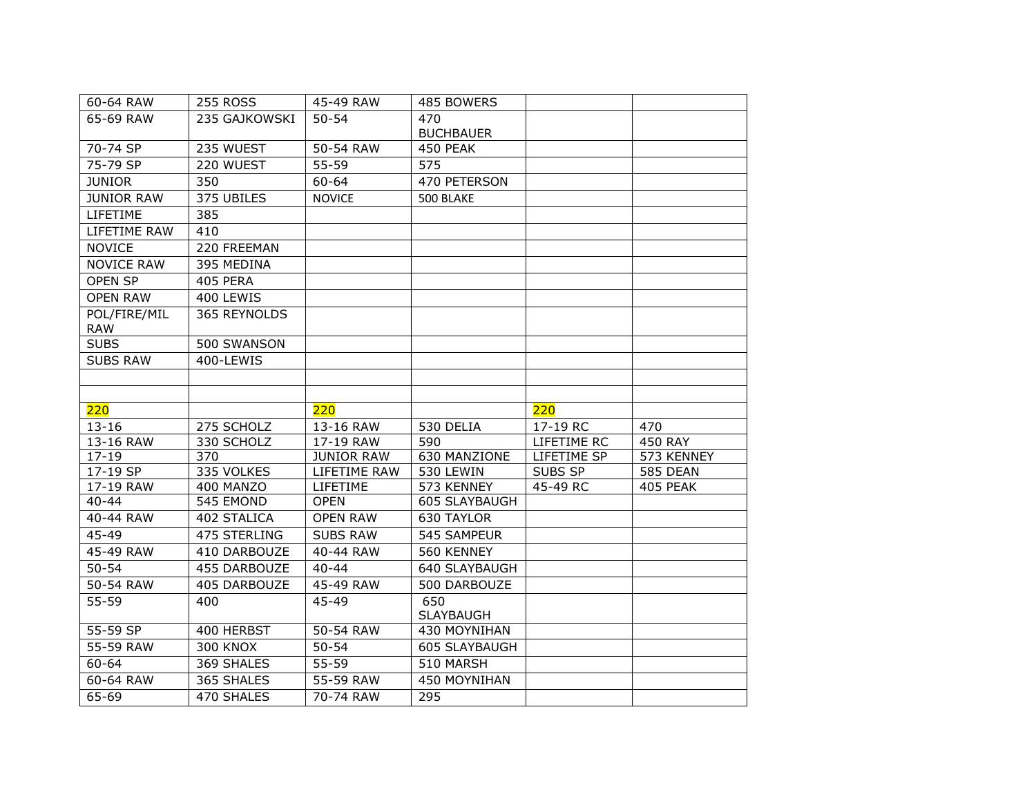| 60-64 RAW         | <b>255 ROSS</b> | 45-49 RAW         | 485 BOWERS       |             |                 |
|-------------------|-----------------|-------------------|------------------|-------------|-----------------|
| 65-69 RAW         | 235 GAJKOWSKI   | $50 - 54$         | 470              |             |                 |
|                   |                 |                   | <b>BUCHBAUER</b> |             |                 |
| 70-74 SP          | 235 WUEST       | 50-54 RAW         | 450 PEAK         |             |                 |
| 75-79 SP          | 220 WUEST       | 55-59             | 575              |             |                 |
| <b>JUNIOR</b>     | 350             | $60 - 64$         | 470 PETERSON     |             |                 |
| <b>JUNIOR RAW</b> | 375 UBILES      | <b>NOVICE</b>     | 500 BLAKE        |             |                 |
| LIFETIME          | 385             |                   |                  |             |                 |
| LIFETIME RAW      | 410             |                   |                  |             |                 |
| <b>NOVICE</b>     | 220 FREEMAN     |                   |                  |             |                 |
| <b>NOVICE RAW</b> | 395 MEDINA      |                   |                  |             |                 |
| <b>OPEN SP</b>    | 405 PERA        |                   |                  |             |                 |
| <b>OPEN RAW</b>   | 400 LEWIS       |                   |                  |             |                 |
| POL/FIRE/MIL      | 365 REYNOLDS    |                   |                  |             |                 |
| <b>RAW</b>        |                 |                   |                  |             |                 |
| <b>SUBS</b>       | 500 SWANSON     |                   |                  |             |                 |
| <b>SUBS RAW</b>   | 400-LEWIS       |                   |                  |             |                 |
|                   |                 |                   |                  |             |                 |
|                   |                 |                   |                  |             |                 |
|                   |                 |                   |                  |             |                 |
| 220               |                 | 220               |                  | 220         |                 |
| $13 - 16$         | 275 SCHOLZ      | 13-16 RAW         | 530 DELIA        | $17-19$ RC  | 470             |
| 13-16 RAW         | 330 SCHOLZ      | 17-19 RAW         | 590              | LIFETIME RC | <b>450 RAY</b>  |
| $17 - 19$         | 370             | <b>JUNIOR RAW</b> | 630 MANZIONE     | LIFETIME SP | 573 KENNEY      |
| 17-19 SP          | 335 VOLKES      | LIFETIME RAW      | 530 LEWIN        | SUBS SP     | <b>585 DEAN</b> |
| 17-19 RAW         | 400 MANZO       | LIFETIME          | 573 KENNEY       | 45-49 RC    | 405 PEAK        |
| $40 - 44$         | 545 EMOND       | <b>OPEN</b>       | 605 SLAYBAUGH    |             |                 |
| 40-44 RAW         | 402 STALICA     | <b>OPEN RAW</b>   | 630 TAYLOR       |             |                 |
| 45-49             | 475 STERLING    | <b>SUBS RAW</b>   | 545 SAMPEUR      |             |                 |
| 45-49 RAW         | 410 DARBOUZE    | 40-44 RAW         | 560 KENNEY       |             |                 |
| $50 - 54$         | 455 DARBOUZE    | $40 - 44$         | 640 SLAYBAUGH    |             |                 |
| 50-54 RAW         | 405 DARBOUZE    | 45-49 RAW         | 500 DARBOUZE     |             |                 |
| 55-59             | 400             | 45-49             | 650              |             |                 |
|                   |                 |                   | <b>SLAYBAUGH</b> |             |                 |
| 55-59 SP          | 400 HERBST      | 50-54 RAW         | 430 MOYNIHAN     |             |                 |
| 55-59 RAW         | <b>300 KNOX</b> | $50 - 54$         | 605 SLAYBAUGH    |             |                 |
| $60 - 64$         | 369 SHALES      | $55 - 59$         | 510 MARSH        |             |                 |
| 60-64 RAW         | 365 SHALES      | 55-59 RAW         | 450 MOYNIHAN     |             |                 |
| 65-69             | 470 SHALES      | 70-74 RAW         | 295              |             |                 |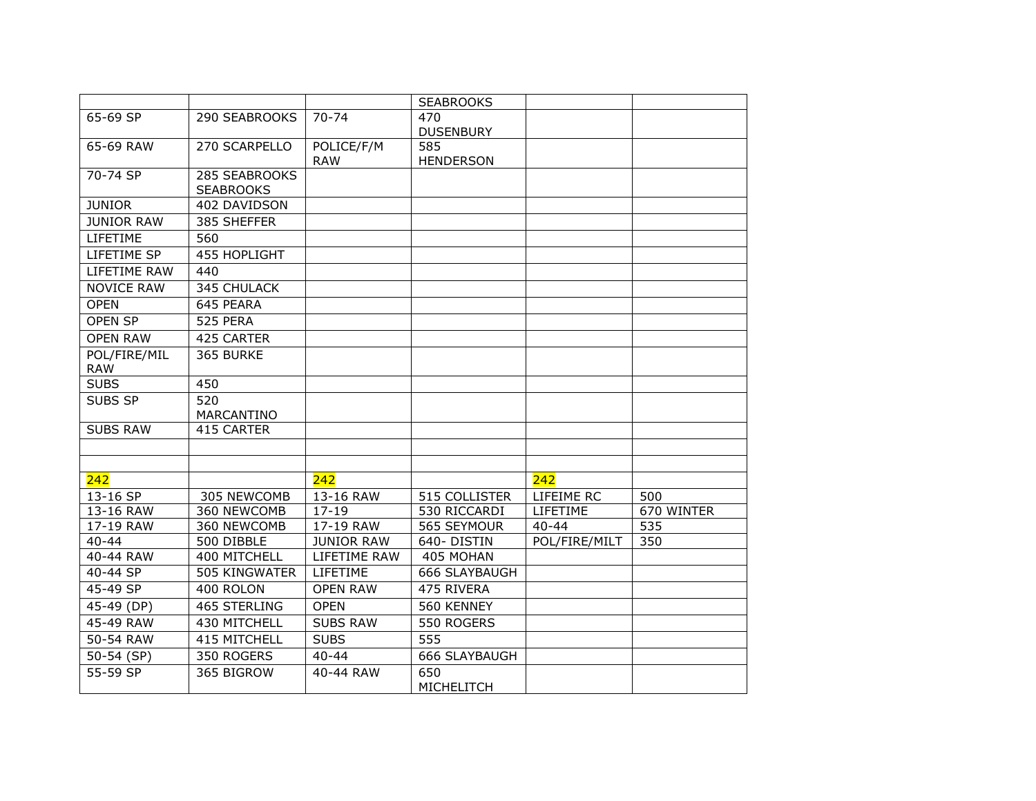|                   |                     |                   | <b>SEABROOKS</b> |               |            |
|-------------------|---------------------|-------------------|------------------|---------------|------------|
| 65-69 SP          | 290 SEABROOKS       | $70 - 74$         | 470              |               |            |
|                   |                     |                   | <b>DUSENBURY</b> |               |            |
| 65-69 RAW         | 270 SCARPELLO       | POLICE/F/M        | 585              |               |            |
| 70-74 SP          | 285 SEABROOKS       | <b>RAW</b>        | <b>HENDERSON</b> |               |            |
|                   | <b>SEABROOKS</b>    |                   |                  |               |            |
| <b>JUNIOR</b>     | 402 DAVIDSON        |                   |                  |               |            |
| <b>JUNIOR RAW</b> | 385 SHEFFER         |                   |                  |               |            |
| LIFETIME          | 560                 |                   |                  |               |            |
| LIFETIME SP       | <b>455 HOPLIGHT</b> |                   |                  |               |            |
| LIFETIME RAW      | 440                 |                   |                  |               |            |
| <b>NOVICE RAW</b> | 345 CHULACK         |                   |                  |               |            |
| <b>OPEN</b>       | 645 PEARA           |                   |                  |               |            |
| <b>OPEN SP</b>    | 525 PERA            |                   |                  |               |            |
| <b>OPEN RAW</b>   | 425 CARTER          |                   |                  |               |            |
| POL/FIRE/MIL      | 365 BURKE           |                   |                  |               |            |
| <b>RAW</b>        |                     |                   |                  |               |            |
| <b>SUBS</b>       | 450                 |                   |                  |               |            |
| SUBS SP           | 520                 |                   |                  |               |            |
|                   | MARCANTINO          |                   |                  |               |            |
| <b>SUBS RAW</b>   | 415 CARTER          |                   |                  |               |            |
|                   |                     |                   |                  |               |            |
|                   |                     |                   |                  |               |            |
| 242               |                     | 242               |                  | 242           |            |
| 13-16 SP          | 305 NEWCOMB         | 13-16 RAW         | 515 COLLISTER    | LIFEIME RC    | 500        |
| 13-16 RAW         | 360 NEWCOMB         | $17 - 19$         | 530 RICCARDI     | LIFETIME      | 670 WINTER |
| 17-19 RAW         | 360 NEWCOMB         | 17-19 RAW         | 565 SEYMOUR      | $40 - 44$     | 535        |
| $40 - 44$         | 500 DIBBLE          | <b>JUNIOR RAW</b> | 640-DISTIN       | POL/FIRE/MILT | 350        |
| 40-44 RAW         | 400 MITCHELL        | LIFETIME RAW      | 405 MOHAN        |               |            |
| 40-44 SP          | 505 KINGWATER       | LIFETIME          | 666 SLAYBAUGH    |               |            |
| 45-49 SP          | 400 ROLON           | <b>OPEN RAW</b>   | 475 RIVERA       |               |            |
| 45-49 (DP)        | <b>465 STERLING</b> | <b>OPEN</b>       | 560 KENNEY       |               |            |
| 45-49 RAW         | 430 MITCHELL        | <b>SUBS RAW</b>   | 550 ROGERS       |               |            |
| 50-54 RAW         | 415 MITCHELL        | <b>SUBS</b>       | 555              |               |            |
| 50-54 (SP)        | 350 ROGERS          | $40 - 44$         | 666 SLAYBAUGH    |               |            |
| 55-59 SP          | 365 BIGROW          | 40-44 RAW         | 650              |               |            |
|                   |                     |                   | MICHELITCH       |               |            |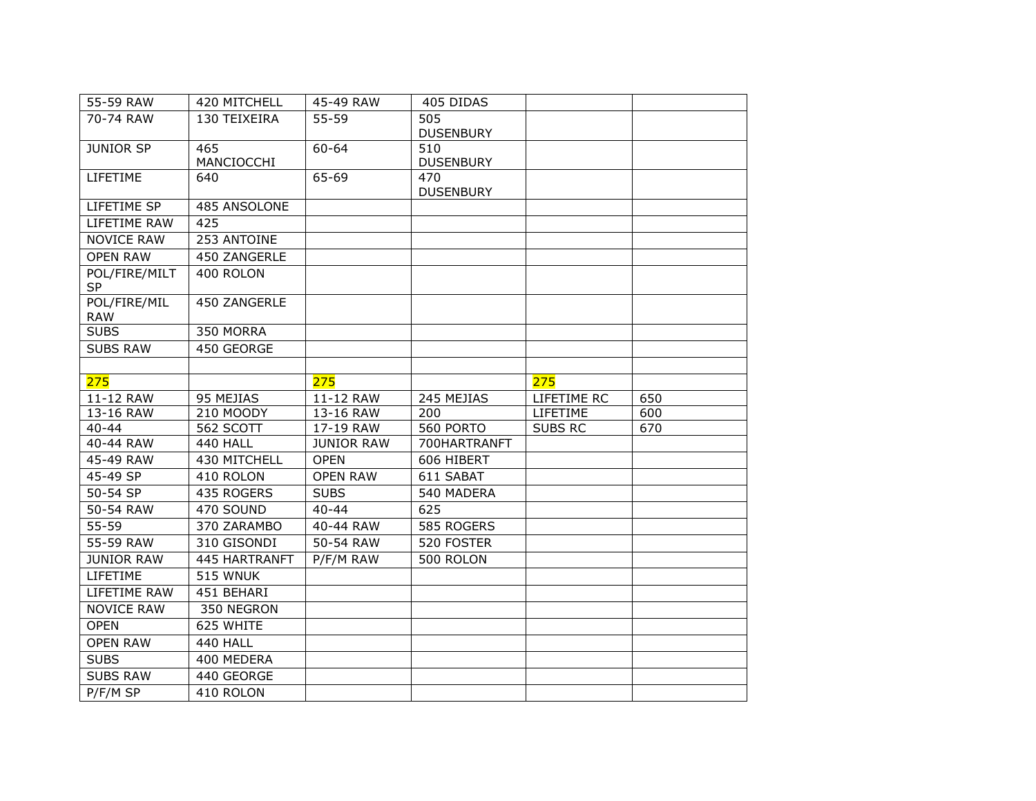| 55-59 RAW                  | 420 MITCHELL      | 45-49 RAW         | 405 DIDAS               |                |     |
|----------------------------|-------------------|-------------------|-------------------------|----------------|-----|
| 70-74 RAW                  | 130 TEIXEIRA      | 55-59             | 505<br><b>DUSENBURY</b> |                |     |
| <b>JUNIOR SP</b>           | 465<br>MANCIOCCHI | $60 - 64$         | 510<br><b>DUSENBURY</b> |                |     |
| LIFETIME                   | 640               | 65-69             | 470<br><b>DUSENBURY</b> |                |     |
| LIFETIME SP                | 485 ANSOLONE      |                   |                         |                |     |
| LIFETIME RAW               | 425               |                   |                         |                |     |
| <b>NOVICE RAW</b>          | 253 ANTOINE       |                   |                         |                |     |
| <b>OPEN RAW</b>            | 450 ZANGERLE      |                   |                         |                |     |
| POL/FIRE/MILT<br><b>SP</b> | 400 ROLON         |                   |                         |                |     |
| POL/FIRE/MIL<br><b>RAW</b> | 450 ZANGERLE      |                   |                         |                |     |
| <b>SUBS</b>                | 350 MORRA         |                   |                         |                |     |
| <b>SUBS RAW</b>            | 450 GEORGE        |                   |                         |                |     |
|                            |                   |                   |                         |                |     |
| 275                        |                   | 275               |                         | 275            |     |
| 11-12 RAW                  | 95 MEJIAS         | 11-12 RAW         | 245 MEJIAS              | LIFETIME RC    | 650 |
| 13-16 RAW                  | 210 MOODY         | 13-16 RAW         | 200                     | LIFETIME       | 600 |
| $40 - 44$                  | 562 SCOTT         | 17-19 RAW         | 560 PORTO               | <b>SUBS RC</b> | 670 |
| 40-44 RAW                  | <b>440 HALL</b>   | <b>JUNIOR RAW</b> | 700HARTRANFT            |                |     |
| 45-49 RAW                  | 430 MITCHELL      | <b>OPEN</b>       | 606 HIBERT              |                |     |
| 45-49 SP                   | 410 ROLON         | <b>OPEN RAW</b>   | 611 SABAT               |                |     |
| 50-54 SP                   | 435 ROGERS        | <b>SUBS</b>       | 540 MADERA              |                |     |
| 50-54 RAW                  | 470 SOUND         | $40 - 44$         | 625                     |                |     |
| $55 - 59$                  | 370 ZARAMBO       | 40-44 RAW         | 585 ROGERS              |                |     |
| 55-59 RAW                  | 310 GISONDI       | 50-54 RAW         | 520 FOSTER              |                |     |
| <b>JUNIOR RAW</b>          | 445 HARTRANFT     | P/F/M RAW         | 500 ROLON               |                |     |
| LIFETIME                   | 515 WNUK          |                   |                         |                |     |
| LIFETIME RAW               | 451 BEHARI        |                   |                         |                |     |
| <b>NOVICE RAW</b>          | 350 NEGRON        |                   |                         |                |     |
| <b>OPEN</b>                | 625 WHITE         |                   |                         |                |     |
| <b>OPEN RAW</b>            | 440 HALL          |                   |                         |                |     |
| <b>SUBS</b>                | 400 MEDERA        |                   |                         |                |     |
| <b>SUBS RAW</b>            | 440 GEORGE        |                   |                         |                |     |
| P/F/M SP                   | 410 ROLON         |                   |                         |                |     |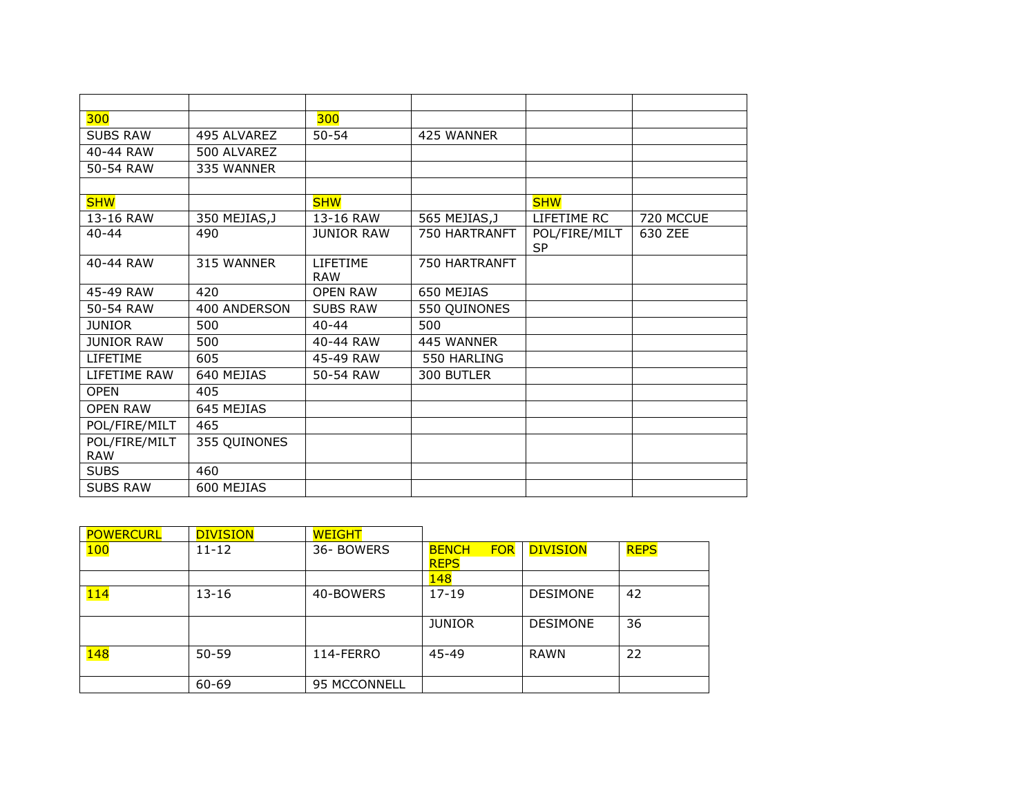| 300               |               | 300               |               |               |           |
|-------------------|---------------|-------------------|---------------|---------------|-----------|
| <b>SUBS RAW</b>   | 495 ALVAREZ   | $50 - 54$         | 425 WANNER    |               |           |
| 40-44 RAW         | 500 ALVAREZ   |                   |               |               |           |
| 50-54 RAW         | 335 WANNER    |                   |               |               |           |
|                   |               |                   |               |               |           |
| <b>SHW</b>        |               | <b>SHW</b>        |               | <b>SHW</b>    |           |
| 13-16 RAW         | 350 MEJIAS, J | 13-16 RAW         | 565 MEJIAS, J | LIFETIME RC   | 720 MCCUE |
| $40 - 44$         | 490           | <b>JUNIOR RAW</b> | 750 HARTRANFT | POL/FIRE/MILT | 630 ZEE   |
|                   |               |                   |               | <b>SP</b>     |           |
| 40-44 RAW         | 315 WANNER    | <b>LIFETIME</b>   | 750 HARTRANFT |               |           |
|                   |               | <b>RAW</b>        |               |               |           |
| 45-49 RAW         | 420           | <b>OPEN RAW</b>   | 650 MEJIAS    |               |           |
| 50-54 RAW         | 400 ANDERSON  | <b>SUBS RAW</b>   | 550 QUINONES  |               |           |
| <b>JUNIOR</b>     | 500           | $40 - 44$         | 500           |               |           |
| <b>JUNIOR RAW</b> | 500           | 40-44 RAW         | 445 WANNER    |               |           |
| LIFETIME          | 605           | 45-49 RAW         | 550 HARLING   |               |           |
| LIFETIME RAW      | 640 MEJIAS    | 50-54 RAW         | 300 BUTLER    |               |           |
| <b>OPEN</b>       | 405           |                   |               |               |           |
| <b>OPEN RAW</b>   | 645 MEJIAS    |                   |               |               |           |
| POL/FIRE/MILT     | 465           |                   |               |               |           |
| POL/FIRE/MILT     | 355 QUINONES  |                   |               |               |           |
| <b>RAW</b>        |               |                   |               |               |           |
| <b>SUBS</b>       | 460           |                   |               |               |           |
| <b>SUBS RAW</b>   | 600 MEJIAS    |                   |               |               |           |

| <b>POWERCURL</b> | <b>DIVISION</b> | <b>WEIGHT</b> |                                           |                 |             |
|------------------|-----------------|---------------|-------------------------------------------|-----------------|-------------|
| 100              | $11 - 12$       | 36- BOWERS    | <b>FOR</b><br><b>BENCH</b><br><b>REPS</b> | <b>DIVISION</b> | <b>REPS</b> |
|                  |                 |               | 148                                       |                 |             |
| 114              | $13 - 16$       | 40-BOWERS     | $17-19$                                   | <b>DESIMONE</b> | 42          |
|                  |                 |               | <b>JUNIOR</b>                             | <b>DESIMONE</b> | 36          |
| <b>148</b>       | $50 - 59$       | 114-FERRO     | 45-49                                     | <b>RAWN</b>     | 22          |
|                  | 60-69           | 95 MCCONNELL  |                                           |                 |             |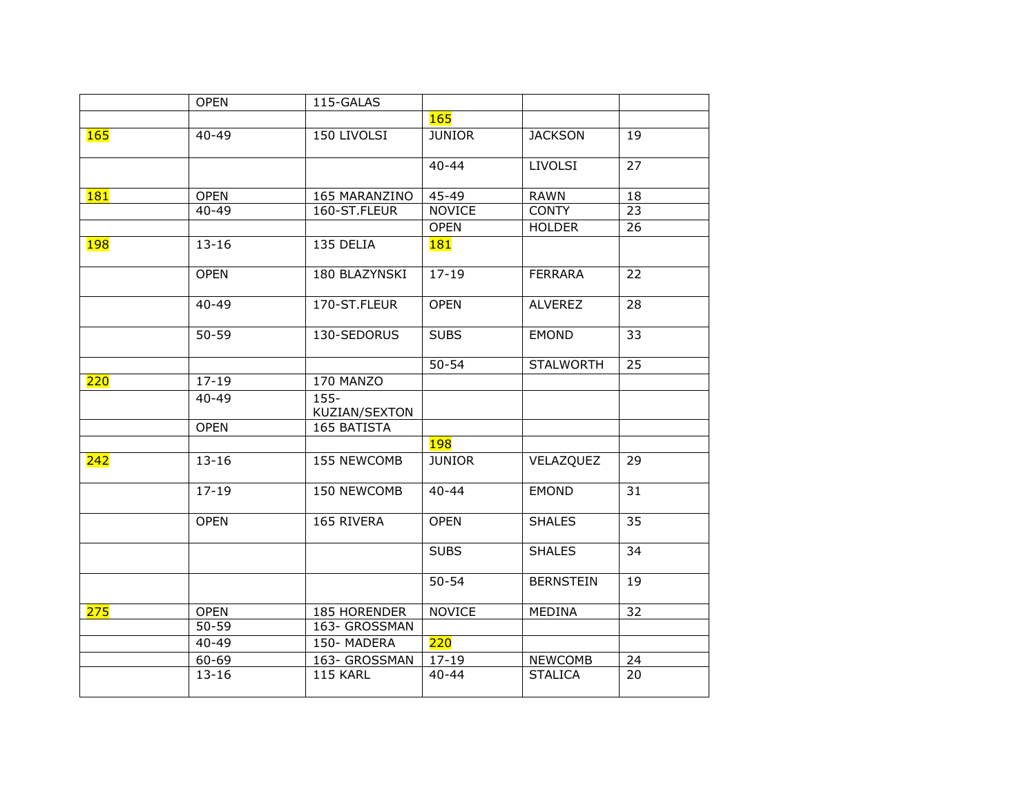|            | <b>OPEN</b> | 115-GALAS                |               |                  |                 |  |
|------------|-------------|--------------------------|---------------|------------------|-----------------|--|
|            |             |                          | <b>165</b>    |                  |                 |  |
| 165        | $40 - 49$   | 150 LIVOLSI              | <b>JUNIOR</b> | <b>JACKSON</b>   | 19              |  |
|            |             |                          | $40 - 44$     | <b>LIVOLSI</b>   | 27              |  |
| <b>181</b> | <b>OPEN</b> | 165 MARANZINO            | 45-49         | <b>RAWN</b>      | 18              |  |
|            | $40 - 49$   | 160-ST.FLEUR             | <b>NOVICE</b> | <b>CONTY</b>     | 23              |  |
|            |             |                          | <b>OPEN</b>   | <b>HOLDER</b>    | 26              |  |
| <b>198</b> | $13 - 16$   | 135 DELIA                | 181           |                  |                 |  |
|            | <b>OPEN</b> | 180 BLAZYNSKI            | $17 - 19$     | <b>FERRARA</b>   | 22              |  |
|            | $40 - 49$   | 170-ST.FLEUR             | <b>OPEN</b>   | <b>ALVEREZ</b>   | 28              |  |
|            | $50 - 59$   | 130-SEDORUS              | <b>SUBS</b>   | <b>EMOND</b>     | 33              |  |
|            |             |                          | $50 - 54$     | <b>STALWORTH</b> | $\overline{25}$ |  |
| 220        | $17 - 19$   | 170 MANZO                |               |                  |                 |  |
|            | $40 - 49$   | $155 -$<br>KUZIAN/SEXTON |               |                  |                 |  |
|            | <b>OPEN</b> | 165 BATISTA              |               |                  |                 |  |
|            |             |                          | <b>198</b>    |                  |                 |  |
| 242        | $13 - 16$   | 155 NEWCOMB              | <b>JUNIOR</b> | VELAZQUEZ        | 29              |  |
|            | $17 - 19$   | 150 NEWCOMB              | $40 - 44$     | <b>EMOND</b>     | 31              |  |
|            | <b>OPEN</b> | 165 RIVERA               | <b>OPEN</b>   | <b>SHALES</b>    | 35              |  |
|            |             |                          | <b>SUBS</b>   | <b>SHALES</b>    | 34              |  |
|            |             |                          | $50 - 54$     | <b>BERNSTEIN</b> | 19              |  |
| 275        | <b>OPEN</b> | 185 HORENDER             | <b>NOVICE</b> | MEDINA           | 32              |  |
|            | $50 - 59$   | 163- GROSSMAN            |               |                  |                 |  |
|            | $40 - 49$   | 150-MADERA               | 220           |                  |                 |  |
|            | $60 - 69$   | 163- GROSSMAN            | $17 - 19$     | <b>NEWCOMB</b>   | 24              |  |
|            | $13 - 16$   | 115 KARL                 | $40 - 44$     | <b>STALICA</b>   | 20              |  |
|            |             |                          |               |                  |                 |  |